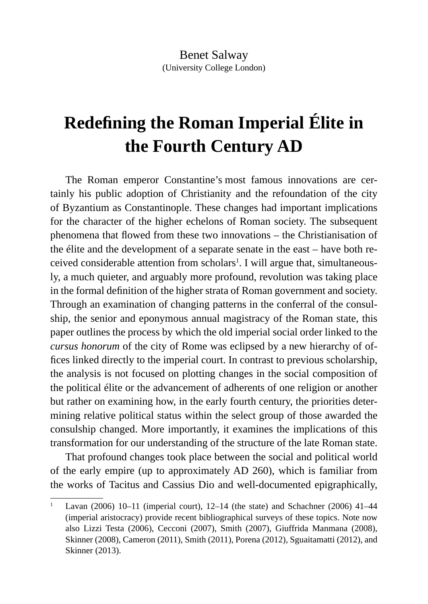# **Redefining the Roman Imperial Élite in the Fourth Century AD**

The Roman emperor Constantine's most famous innovations are certainly his public adoption of Christianity and the refoundation of the city of Byzantium as Constantinople. These changes had important implications for the character of the higher echelons of Roman society. The subsequent phenomena that flowed from these two innovations – the Christianisation of the élite and the development of a separate senate in the east – have both received considerable attention from scholars<sup>1</sup>. I will argue that, simultaneously, a much quieter, and arguably more profound, revolution was taking place in the formal definition of the higher strata of Roman government and society. Through an examination of changing patterns in the conferral of the consulship, the senior and eponymous annual magistracy of the Roman state, this paper outlines the process by which the old imperial social order linked to the *cursus honorum* of the city of Rome was eclipsed by a new hierarchy of offices linked directly to the imperial court. In contrast to previous scholarship, the analysis is not focused on plotting changes in the social composition of the political élite or the advancement of adherents of one religion or another but rather on examining how, in the early fourth century, the priorities determining relative political status within the select group of those awarded the consulship changed. More importantly, it examines the implications of this transformation for our understanding of the structure of the late Roman state.

That profound changes took place between the social and political world of the early empire (up to approximately AD 260), which is familiar from the works of Tacitus and Cassius Dio and well-documented epigraphically,

<sup>&</sup>lt;sup>1</sup> Lavan (2006) 10–11 (imperial court), 12–14 (the state) and Schachner (2006) 41–44 (imperial aristocracy) provide recent bibliographical surveys of these topics. Note now also Lizzi Testa (2006), Cecconi (2007), Smith (2007), Giuffrida Manmana (2008), Skinner (2008), Cameron (2011), Smith (2011), Porena (2012), Sguaitamatti (2012), and Skinner (2013).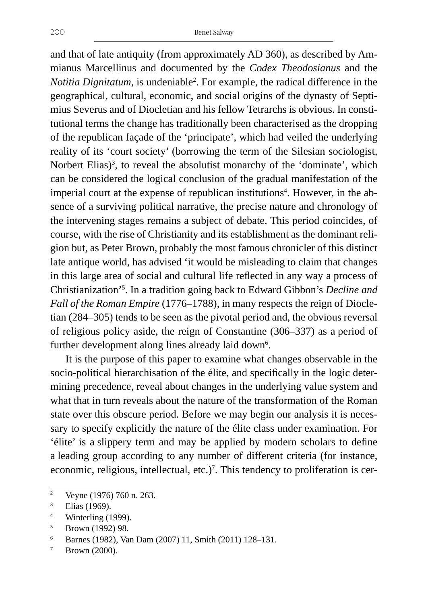and that of late antiquity (from approximately AD 360), as described by Ammianus Marcellinus and documented by the *Codex Theodosianus* and the *Notitia Dignitatum*, is undeniable2 . For example, the radical difference in the geographical, cultural, economic, and social origins of the dynasty of Septimius Severus and of Diocletian and his fellow Tetrarchs is obvious. In constitutional terms the change has traditionally been characterised as the dropping of the republican façade of the 'principate', which had veiled the underlying reality of its 'court society' (borrowing the term of the Silesian sociologist, Norbert Elias)<sup>3</sup>, to reveal the absolutist monarchy of the 'dominate', which can be considered the logical conclusion of the gradual manifestation of the imperial court at the expense of republican institutions<sup>4</sup>. However, in the absence of a surviving political narrative, the precise nature and chronology of the intervening stages remains a subject of debate. This period coincides, of course, with the rise of Christianity and its establishment as the dominant religion but, as Peter Brown, probably the most famous chronicler of this distinct late antique world, has advised 'it would be misleading to claim that changes in this large area of social and cultural life reflected in any way a process of Christianization'5 . In a tradition going back to Edward Gibbon's *Decline and Fall of the Roman Empire* (1776–1788), in many respects the reign of Diocletian (284–305) tends to be seen as the pivotal period and, the obvious reversal of religious policy aside, the reign of Constantine (306–337) as a period of further development along lines already laid down<sup>6</sup>.

It is the purpose of this paper to examine what changes observable in the socio-political hierarchisation of the élite, and specifically in the logic determining precedence, reveal about changes in the underlying value system and what that in turn reveals about the nature of the transformation of the Roman state over this obscure period. Before we may begin our analysis it is necessary to specify explicitly the nature of the élite class under examination. For 'élite' is a slippery term and may be applied by modern scholars to define a leading group according to any number of different criteria (for instance, economic, religious, intellectual, etc.)<sup>7</sup>. This tendency to proliferation is cer-

<sup>2</sup> Veyne (1976) 760 n. 263.

<sup>3</sup> Elias (1969).

<sup>4</sup> Winterling (1999).

<sup>&</sup>lt;sup>5</sup> Brown (1992) 98.

<sup>6</sup> Barnes (1982), Van Dam (2007) 11, Smith (2011) 128–131.

 $7$  Brown (2000).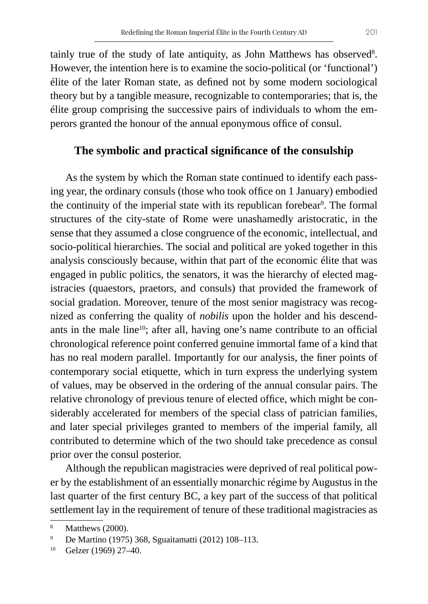tainly true of the study of late antiquity, as John Matthews has observed $^8$ . However, the intention here is to examine the socio-political (or 'functional') élite of the later Roman state, as defined not by some modern sociological theory but by a tangible measure, recognizable to contemporaries; that is, the élite group comprising the successive pairs of individuals to whom the emperors granted the honour of the annual eponymous office of consul.

# **The symbolic and practical significance of the consulship**

As the system by which the Roman state continued to identify each passing year, the ordinary consuls (those who took office on 1 January) embodied the continuity of the imperial state with its republican forebear<sup>9</sup>. The formal structures of the city-state of Rome were unashamedly aristocratic, in the sense that they assumed a close congruence of the economic, intellectual, and socio-political hierarchies. The social and political are yoked together in this analysis consciously because, within that part of the economic élite that was engaged in public politics, the senators, it was the hierarchy of elected magistracies (quaestors, praetors, and consuls) that provided the framework of social gradation. Moreover, tenure of the most senior magistracy was recognized as conferring the quality of *nobilis* upon the holder and his descendants in the male line<sup>10</sup>; after all, having one's name contribute to an official chronological reference point conferred genuine immortal fame of a kind that has no real modern parallel. Importantly for our analysis, the finer points of contemporary social etiquette, which in turn express the underlying system of values, may be observed in the ordering of the annual consular pairs. The relative chronology of previous tenure of elected office, which might be considerably accelerated for members of the special class of patrician families, and later special privileges granted to members of the imperial family, all contributed to determine which of the two should take precedence as consul prior over the consul posterior.

Although the republican magistracies were deprived of real political power by the establishment of an essentially monarchic régime by Augustus in the last quarter of the first century BC, a key part of the success of that political settlement lay in the requirement of tenure of these traditional magistracies as

<sup>8</sup> Matthews (2000).

<sup>9</sup> De Martino (1975) 368, Sguaitamatti (2012) 108–113.

<sup>10</sup> Gelzer (1969) 27–40.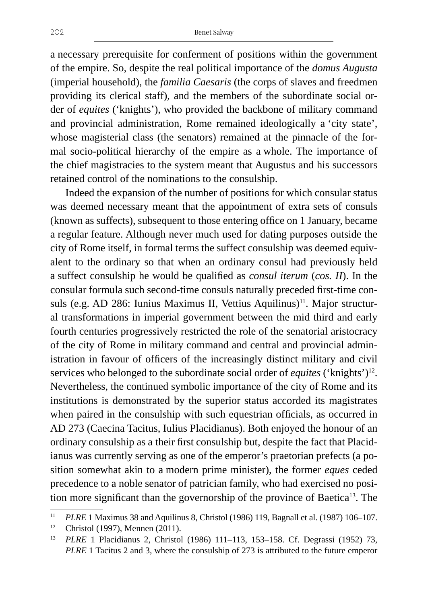a necessary prerequisite for conferment of positions within the government of the empire. So, despite the real political importance of the *domus Augusta*  (imperial household), the *familia Caesaris* (the corps of slaves and freedmen providing its clerical staff)*,* and the members of the subordinate social order of *equites* ('knights'), who provided the backbone of military command and provincial administration, Rome remained ideologically a 'city state', whose magisterial class (the senators) remained at the pinnacle of the formal socio-political hierarchy of the empire as a whole. The importance of the chief magistracies to the system meant that Augustus and his successors retained control of the nominations to the consulship.

Indeed the expansion of the number of positions for which consular status was deemed necessary meant that the appointment of extra sets of consuls (known as suffects), subsequent to those entering office on 1 January, became a regular feature. Although never much used for dating purposes outside the city of Rome itself, in formal terms the suffect consulship was deemed equivalent to the ordinary so that when an ordinary consul had previously held a suffect consulship he would be qualified as *consul iterum* (*cos. II*). In the consular formula such second-time consuls naturally preceded first-time consuls (e.g. AD 286: Iunius Maximus II, Vettius Aquilinus)<sup>11</sup>. Major structural transformations in imperial government between the mid third and early fourth centuries progressively restricted the role of the senatorial aristocracy of the city of Rome in military command and central and provincial administration in favour of officers of the increasingly distinct military and civil services who belonged to the subordinate social order of *equites* ('knights')<sup>12</sup>. Nevertheless, the continued symbolic importance of the city of Rome and its institutions is demonstrated by the superior status accorded its magistrates when paired in the consulship with such equestrian officials, as occurred in AD 273 (Caecina Tacitus, Iulius Placidianus). Both enjoyed the honour of an ordinary consulship as a their first consulship but, despite the fact that Placidianus was currently serving as one of the emperor's praetorian prefects (a position somewhat akin to a modern prime minister), the former *eques* ceded precedence to a noble senator of patrician family, who had exercised no position more significant than the governorship of the province of Baetica<sup>13</sup>. The

<sup>11</sup> *PLRE* 1 Maximus 38 and Aquilinus 8, Christol (1986) 119, Bagnall et al. (1987) 106–107.

<sup>12</sup> Christol (1997), Mennen (2011).

<sup>13</sup> *PLRE* 1 Placidianus 2, Christol (1986) 111–113, 153–158. Cf. Degrassi (1952) 73, *PLRE* 1 Tacitus 2 and 3, where the consulship of 273 is attributed to the future emperor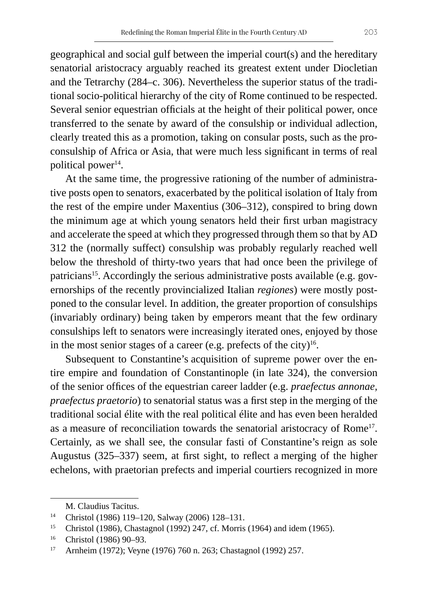geographical and social gulf between the imperial court(s) and the hereditary senatorial aristocracy arguably reached its greatest extent under Diocletian and the Tetrarchy (284–c. 306). Nevertheless the superior status of the traditional socio-political hierarchy of the city of Rome continued to be respected. Several senior equestrian officials at the height of their political power, once transferred to the senate by award of the consulship or individual adlection, clearly treated this as a promotion, taking on consular posts, such as the proconsulship of Africa or Asia, that were much less significant in terms of real political power<sup>14</sup>.

At the same time, the progressive rationing of the number of administrative posts open to senators, exacerbated by the political isolation of Italy from the rest of the empire under Maxentius (306–312), conspired to bring down the minimum age at which young senators held their first urban magistracy and accelerate the speed at which they progressed through them so that by AD 312 the (normally suffect) consulship was probably regularly reached well below the threshold of thirty-two years that had once been the privilege of patricians<sup>15</sup>. Accordingly the serious administrative posts available (e.g. governorships of the recently provincialized Italian *regiones*) were mostly postponed to the consular level. In addition, the greater proportion of consulships (invariably ordinary) being taken by emperors meant that the few ordinary consulships left to senators were increasingly iterated ones, enjoyed by those in the most senior stages of a career (e.g. prefects of the city) $16$ .

Subsequent to Constantine's acquisition of supreme power over the entire empire and foundation of Constantinople (in late 324), the conversion of the senior offices of the equestrian career ladder (e.g. *praefectus annonae, praefectus praetorio*) to senatorial status was a first step in the merging of the traditional social élite with the real political élite and has even been heralded as a measure of reconciliation towards the senatorial aristocracy of Rome<sup>17</sup>. Certainly, as we shall see, the consular fasti of Constantine's reign as sole Augustus (325–337) seem, at first sight, to reflect a merging of the higher echelons, with praetorian prefects and imperial courtiers recognized in more

M. Claudius Tacitus.

<sup>14</sup> Christol (1986) 119–120, Salway (2006) 128–131.

<sup>&</sup>lt;sup>15</sup> Christol (1986), Chastagnol (1992) 247, cf. Morris (1964) and idem (1965).

<sup>16</sup> Christol (1986) 90–93.

<sup>17</sup> Arnheim (1972); Veyne (1976) 760 n. 263; Chastagnol (1992) 257.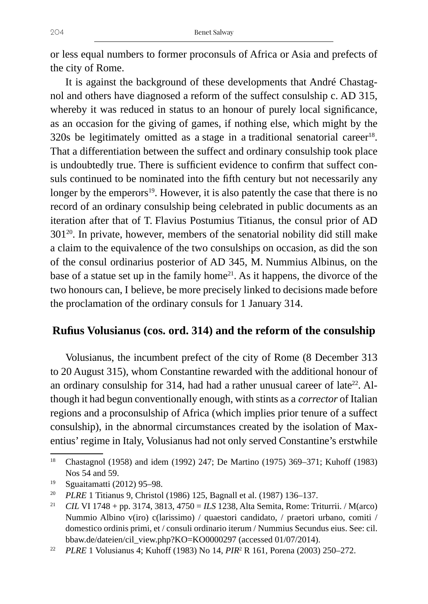or less equal numbers to former proconsuls of Africa or Asia and prefects of the city of Rome.

It is against the background of these developments that André Chastagnol and others have diagnosed a reform of the suffect consulship c. AD 315, whereby it was reduced in status to an honour of purely local significance, as an occasion for the giving of games, if nothing else, which might by the 320s be legitimately omitted as a stage in a traditional senatorial career $^{18}$ . That a differentiation between the suffect and ordinary consulship took place is undoubtedly true. There is sufficient evidence to confirm that suffect consuls continued to be nominated into the fifth century but not necessarily any longer by the emperors $19$ . However, it is also patently the case that there is no record of an ordinary consulship being celebrated in public documents as an iteration after that of T. Flavius Postumius Titianus, the consul prior of AD 30120. In private, however, members of the senatorial nobility did still make a claim to the equivalence of the two consulships on occasion, as did the son of the consul ordinarius posterior of AD 345, M. Nummius Albinus, on the base of a statue set up in the family home<sup>21</sup>. As it happens, the divorce of the two honours can, I believe, be more precisely linked to decisions made before the proclamation of the ordinary consuls for 1 January 314.

# **Rufius Volusianus (cos. ord. 314) and the reform of the consulship**

Volusianus, the incumbent prefect of the city of Rome (8 December 313 to 20 August 315), whom Constantine rewarded with the additional honour of an ordinary consulship for 314, had had a rather unusual career of late<sup>22</sup>. Although it had begun conventionally enough, with stints as a *corrector* of Italian regions and a proconsulship of Africa (which implies prior tenure of a suffect consulship), in the abnormal circumstances created by the isolation of Maxentius' regime in Italy, Volusianus had not only served Constantine's erstwhile

<sup>18</sup> Chastagnol (1958) and idem (1992) 247; De Martino (1975) 369–371; Kuhoff (1983) Nos 54 and 59.

<sup>19</sup> Sguaitamatti (2012) 95–98.

<sup>20</sup> *PLRE* 1 Titianus 9, Christol (1986) 125, Bagnall et al. (1987) 136–137.

<sup>21</sup> *CIL* VI 1748 + pp. 3174, 3813, 4750 = *ILS* 1238, Alta Semita, Rome: Triturrii. / M(arco) Nummio Albino v(iro) c(larissimo) / quaestori candidato, / praetori urbano, comiti / domestico ordinis primi, et / consuli ordinario iterum / Nummius Secundus eius. See: cil. bbaw.de/dateien/cil\_view.php?KO=KO0000297 (accessed 01/07/2014).

<sup>22</sup> *PLRE* 1 Volusianus 4; Kuhoff (1983) No 14, *PIR*<sup>2</sup> R 161, Porena (2003) 250–272.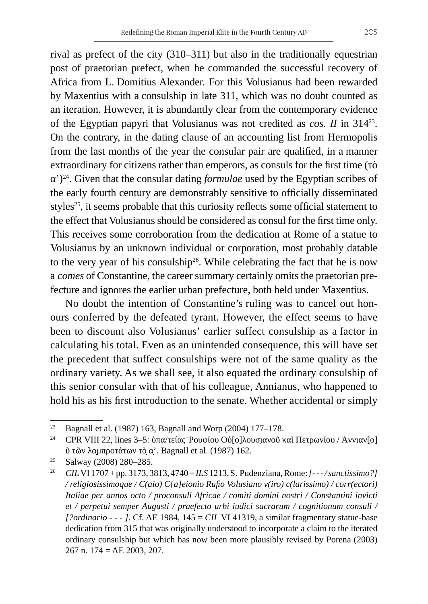rival as prefect of the city (310–311) but also in the traditionally equestrian post of praetorian prefect, when he commanded the successful recovery of Africa from L. Domitius Alexander. For this Volusianus had been rewarded by Maxentius with a consulship in late 311, which was no doubt counted as an iteration. However, it is abundantly clear from the contemporary evidence of the Egyptian papyri that Volusianus was not credited as *cos. II* in 31423. On the contrary, in the dating clause of an accounting list from Hermopolis from the last months of the year the consular pair are qualified, in a manner extraordinary for citizens rather than emperors, as consuls for the first time (τὸ α')24. Given that the consular dating *formulae* used by the Egyptian scribes of the early fourth century are demonstrably sensitive to officially disseminated styles<sup>25</sup>, it seems probable that this curiosity reflects some official statement to the effect that Volusianus should be considered as consul for the first time only. This receives some corroboration from the dedication at Rome of a statue to Volusianus by an unknown individual or corporation, most probably datable to the very year of his consulship<sup>26</sup>. While celebrating the fact that he is now a *comes* of Constantine, the career summary certainly omits the praetorian prefecture and ignores the earlier urban prefecture, both held under Maxentius.

No doubt the intention of Constantine's ruling was to cancel out honours conferred by the defeated tyrant. However, the effect seems to have been to discount also Volusianus' earlier suffect consulship as a factor in calculating his total. Even as an unintended consequence, this will have set the precedent that suffect consulships were not of the same quality as the ordinary variety. As we shall see, it also equated the ordinary consulship of this senior consular with that of his colleague, Annianus, who happened to hold his as his first introduction to the senate. Whether accidental or simply

<sup>&</sup>lt;sup>23</sup> Bagnall et al. (1987) 163, Bagnall and Worp (2004) 177–178.

<sup>&</sup>lt;sup>24</sup> CPR VIII 22, lines 3–5: ὑπα/τείας Ῥουφίου Οὐ[ο]λουσιανοῦ καὶ Πετρωνίου / Ἀννιαν[ο] ῦ τῶν λα̣μπροτάτων τὸ̣ α̣'. Bagnall et al. (1987) 162.

<sup>25</sup> Salway (2008) 280–285.

<sup>26</sup> *CIL*VI 1707 + pp. 3173, 3813, 4740 = *ILS* 1213, S. Pudenziana, Rome: *[- - - / sanctissimo?] / religiosissimoque / C(aio) C{a}eionio Rufio Volusiano v(iro) c(larissimo) / corr(ectori) Italiae per annos octo / proconsuli Africae / comiti domini nostri / Constantini invicti et / perpetui semper Augusti / praefecto urbi iudici sacrarum / cognitionum consuli / [?ordinario - - - ]*. Cf. AE 1984, 145 = *CIL* VI 41319, a similar fragmentary statue-base dedication from 315 that was originally understood to incorporate a claim to the iterated ordinary consulship but which has now been more plausibly revised by Porena (2003) 267 n. 174 = AE 2003, 207.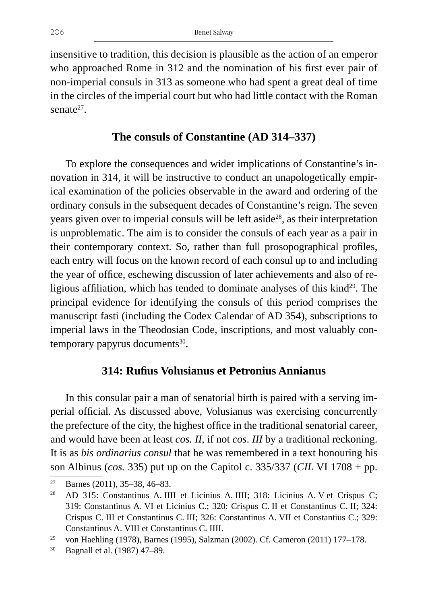insensitive to tradition, this decision is plausible as the action of an emperor who approached Rome in 312 and the nomination of his first ever pair of non-imperial consuls in 313 as someone who had spent a great deal of time in the circles of the imperial court but who had little contact with the Roman senate $27$ .

### **The consuls of Constantine (AD 314–337)**

To explore the consequences and wider implications of Constantine's innovation in 314, it will be instructive to conduct an unapologetically empirical examination of the policies observable in the award and ordering of the ordinary consuls in the subsequent decades of Constantine's reign. The seven years given over to imperial consuls will be left aside<sup>28</sup>, as their interpretation is unproblematic. The aim is to consider the consuls of each year as a pair in their contemporary context. So, rather than full prosopographical profiles, each entry will focus on the known record of each consul up to and including the year of office, eschewing discussion of later achievements and also of religious affiliation, which has tended to dominate analyses of this kind<sup>29</sup>. The principal evidence for identifying the consuls of this period comprises the manuscript fasti (including the Codex Calendar of AD 354), subscriptions to imperial laws in the Theodosian Code, inscriptions, and most valuably contemporary papyrus documents<sup>30</sup>.

#### **314: Rufius Volusianus et Petronius Annianus**

In this consular pair a man of senatorial birth is paired with a serving imperial official. As discussed above, Volusianus was exercising concurrently the prefecture of the city, the highest office in the traditional senatorial career, and would have been at least *cos. II*, if not *cos*. *III* by a traditional reckoning. It is as *bis ordinarius consul* that he was remembered in a text honouring his son Albinus (*cos.* 335) put up on the Capitol c. 335/337 (*CIL* VI 1708 + pp.

<sup>27</sup> Barnes (2011), 35–38, 46–83.

<sup>&</sup>lt;sup>28</sup> AD 315: Constantinus A. IIII et Licinius A. IIII; 318: Licinius A. V et Crispus C; 319: Constantinus A. VI et Licinius C.; 320: Crispus C. II et Constantinus C. II; 324: Crispus C. III et Constantinus C. III; 326: Constantinus A. VII et Constantius C.; 329: Constantinus A. VIII et Constantinus C. IIII.<br><sup>29</sup> von Haehling (1978), Barnes (1995), Salzman (2002). Cf. Cameron (2011) 177–178.

<sup>30</sup> Bagnall et al. (1987) 47–89.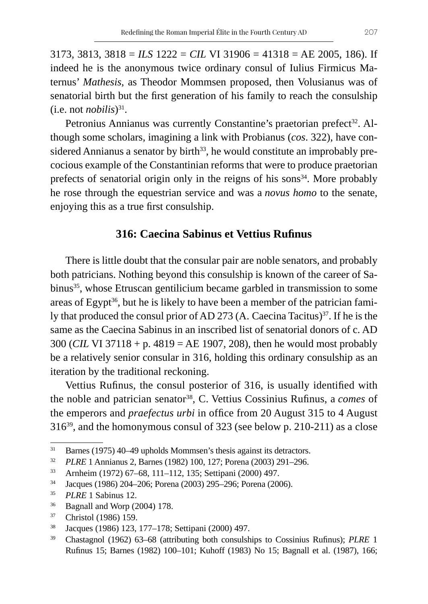3173, 3813, 3818 = *ILS* 1222 = *CIL* VI 31906 = 41318 = AE 2005, 186). If indeed he is the anonymous twice ordinary consul of Iulius Firmicus Maternus' *Mathesis*, as Theodor Mommsen proposed, then Volusianus was of senatorial birth but the first generation of his family to reach the consulship  $(i.e. not *nobilis*<sup>31</sup>).$ 

Petronius Annianus was currently Constantine's praetorian prefect<sup>32</sup>. Although some scholars, imagining a link with Probianus (*cos*. 322), have considered Annianus a senator by birth<sup>33</sup>, he would constitute an improbably precocious example of the Constantinian reforms that were to produce praetorian prefects of senatorial origin only in the reigns of his sons $34$ . More probably he rose through the equestrian service and was a *novus homo* to the senate, enjoying this as a true first consulship.

#### **316: Caecina Sabinus et Vettius Rufinus**

There is little doubt that the consular pair are noble senators, and probably both patricians. Nothing beyond this consulship is known of the career of Sabinus<sup>35</sup>, whose Etruscan gentilicium became garbled in transmission to some areas of Egypt<sup>36</sup>, but he is likely to have been a member of the patrician family that produced the consul prior of AD 273 (A. Caecina Tacitus)<sup>37</sup>. If he is the same as the Caecina Sabinus in an inscribed list of senatorial donors of c. AD 300 (*CIL* VI 37118 + p. 4819 = AE 1907, 208), then he would most probably be a relatively senior consular in 316, holding this ordinary consulship as an iteration by the traditional reckoning.

Vettius Rufinus, the consul posterior of 316, is usually identified with the noble and patrician senator<sup>38</sup>, C. Vettius Cossinius Rufinus, a *comes* of the emperors and *praefectus urbi* in office from 20 August 315 to 4 August 31639, and the homonymous consul of 323 (see below p. 210-211) as a close

- $36$  Bagnall and Worp (2004) 178.
- <sup>37</sup> Christol (1986) 159.

<sup>&</sup>lt;sup>31</sup> Barnes (1975) 40–49 upholds Mommsen's thesis against its detractors.

<sup>32</sup> *PLRE* 1 Annianus 2, Barnes (1982) 100, 127; Porena (2003) 291–296.

<sup>33</sup> Arnheim (1972) 67–68, 111–112, 135; Settipani (2000) 497.

<sup>34</sup> Jacques (1986) 204–206; Porena (2003) 295–296; Porena (2006).

<sup>35</sup> *PLRE* 1 Sabinus 12.

<sup>38</sup> Jacques (1986) 123, 177–178; Settipani (2000) 497.

<sup>39</sup> Chastagnol (1962) 63–68 (attributing both consulships to Cossinius Rufinus); *PLRE* 1 Rufinus 15; Barnes (1982) 100–101; Kuhoff (1983) No 15; Bagnall et al. (1987), 166;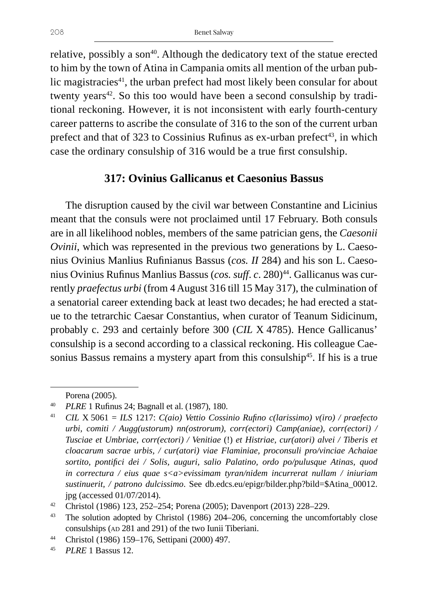relative, possibly a son<sup>40</sup>. Although the dedicatory text of the statue erected to him by the town of Atina in Campania omits all mention of the urban public magistracies<sup>41</sup>, the urban prefect had most likely been consular for about twenty years<sup>42</sup>. So this too would have been a second consulship by traditional reckoning. However, it is not inconsistent with early fourth-century career patterns to ascribe the consulate of 316 to the son of the current urban prefect and that of 323 to Cossinius Rufinus as ex-urban prefect<sup>43</sup>, in which case the ordinary consulship of 316 would be a true first consulship.

### **317: Ovinius Gallicanus et Caesonius Bassus**

The disruption caused by the civil war between Constantine and Licinius meant that the consuls were not proclaimed until 17 February. Both consuls are in all likelihood nobles, members of the same patrician gens, the *Caesonii Ovinii*, which was represented in the previous two generations by L. Caesonius Ovinius Manlius Rufinianus Bassus (*cos. II* 284) and his son L. Caesonius Ovinius Rufinus Manlius Bassus (*cos. suff. c.* 280)<sup>44</sup>. Gallicanus was currently *praefectus urbi* (from 4 August 316 till 15 May 317), the culmination of a senatorial career extending back at least two decades; he had erected a statue to the tetrarchic Caesar Constantius, when curator of Teanum Sidicinum, probably c. 293 and certainly before 300 (*CIL* X 4785). Hence Gallicanus' consulship is a second according to a classical reckoning. His colleague Caesonius Bassus remains a mystery apart from this consulship<sup>45</sup>. If his is a true

Porena (2005).

<sup>40</sup> *PLRE* 1 Rufinus 24; Bagnall et al. (1987), 180.

<sup>41</sup> *CIL* X 5061 = *ILS* 1217: *C(aio) Vettio Cossinio Rufino c(larissimo) v(iro) / praefecto urbi, comiti / Augg(ustorum) nn(ostrorum), corr(ectori) Camp(aniae), corr(ectori) / Tusciae et Umbriae, corr(ectori) / Venitiae* (!) *et Histriae, cur(atori) alvei / Tiberis et cloacarum sacrae urbis, / cur(atori) viae Flaminiae, proconsuli pro/vinciae Achaiae sortito, pontifici dei / Solis, auguri, salio Palatino, ordo po/pulusque Atinas, quod in correctura / eius quae s<a>evissimam tyran/nidem incurrerat nullam / iniuriam sustinuerit, / patrono dulcissimo*. See db.edcs.eu/epigr/bilder.php?bild=\$Atina\_00012. jpg (accessed 01/07/2014).

<sup>42</sup> Christol (1986) 123, 252–254; Porena (2005); Davenport (2013) 228–229.

<sup>&</sup>lt;sup>43</sup> The solution adopted by Christol (1986) 204–206, concerning the uncomfortably close consulships (AD 281 and 291) of the two Iunii Tiberiani.

<sup>44</sup> Christol (1986) 159–176, Settipani (2000) 497.

<sup>45</sup> *PLRE* 1 Bassus 12.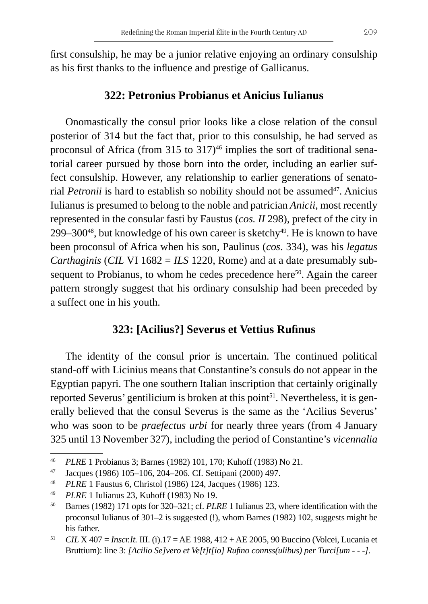first consulship, he may be a junior relative enjoying an ordinary consulship as his first thanks to the influence and prestige of Gallicanus.

## **322: Petronius Probianus et Anicius Iulianus**

Onomastically the consul prior looks like a close relation of the consul posterior of 314 but the fact that, prior to this consulship, he had served as proconsul of Africa (from 315 to  $317$ )<sup>46</sup> implies the sort of traditional senatorial career pursued by those born into the order, including an earlier suffect consulship. However, any relationship to earlier generations of senatorial *Petronii* is hard to establish so nobility should not be assumed<sup>47</sup>. Anicius Iulianus is presumed to belong to the noble and patrician *Anicii*, most recently represented in the consular fasti by Faustus (*cos. II* 298), prefect of the city in 299–300 $48$ , but knowledge of his own career is sketchy $49$ . He is known to have been proconsul of Africa when his son, Paulinus (*cos*. 334), was his *legatus Carthaginis* (*CIL* VI 1682 = *ILS* 1220, Rome) and at a date presumably subsequent to Probianus, to whom he cedes precedence here<sup>50</sup>. Again the career pattern strongly suggest that his ordinary consulship had been preceded by a suffect one in his youth.

# **323: [Acilius?] Severus et Vettius Rufinus**

The identity of the consul prior is uncertain. The continued political stand-off with Licinius means that Constantine's consuls do not appear in the Egyptian papyri. The one southern Italian inscription that certainly originally reported Severus' gentilicium is broken at this point<sup>51</sup>. Nevertheless, it is generally believed that the consul Severus is the same as the 'Acilius Severus' who was soon to be *praefectus urbi* for nearly three years (from 4 January 325 until 13 November 327), including the period of Constantine's *vicennalia*

<sup>46</sup> *PLRE* 1 Probianus 3; Barnes (1982) 101, 170; Kuhoff (1983) No 21.

<sup>47</sup> Jacques (1986) 105–106, 204–206. Cf. Settipani (2000) 497.

<sup>48</sup> *PLRE* 1 Faustus 6, Christol (1986) 124, Jacques (1986) 123.

<sup>49</sup> *PLRE* 1 Iulianus 23, Kuhoff (1983) No 19.

<sup>50</sup> Barnes (1982) 171 opts for 320–321; cf. *PLRE* 1 Iulianus 23, where identification with the proconsul Iulianus of 301–2 is suggested (!), whom Barnes (1982) 102, suggests might be his father.

<sup>51</sup> *CIL* X 407 = *Inscr.It.* III. (i).17 = AE 1988, 412 + AE 2005, 90 Buccino (Volcei, Lucania et Bruttium): line 3: *[Acilio Se]vero et Ve[t]t[io] Rufino connss(ulibus) per Turci[um - - -]*.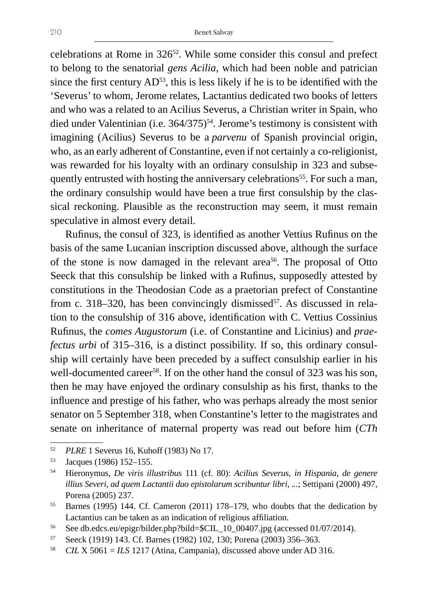celebrations at Rome in 32652. While some consider this consul and prefect to belong to the senatorial *gens Acilia*, which had been noble and patrician since the first century  $AD^{53}$ , this is less likely if he is to be identified with the 'Severus' to whom, Jerome relates, Lactantius dedicated two books of letters and who was a related to an Acilius Severus, a Christian writer in Spain, who died under Valentinian (i.e.  $364/375$ )<sup>54</sup>. Jerome's testimony is consistent with imagining (Acilius) Severus to be a *parvenu* of Spanish provincial origin, who, as an early adherent of Constantine, even if not certainly a co-religionist, was rewarded for his loyalty with an ordinary consulship in 323 and subsequently entrusted with hosting the anniversary celebrations<sup>55</sup>. For such a man, the ordinary consulship would have been a true first consulship by the classical reckoning. Plausible as the reconstruction may seem, it must remain speculative in almost every detail.

Rufinus, the consul of 323, is identified as another Vettius Rufinus on the basis of the same Lucanian inscription discussed above, although the surface of the stone is now damaged in the relevant area<sup>56</sup>. The proposal of Otto Seeck that this consulship be linked with a Rufinus, supposedly attested by constitutions in the Theodosian Code as a praetorian prefect of Constantine from c. 318–320, has been convincingly dismissed<sup>57</sup>. As discussed in relation to the consulship of 316 above, identification with C. Vettius Cossinius Rufinus, the *comes Augustorum* (i.e. of Constantine and Licinius) and *praefectus urbi* of 315–316, is a distinct possibility. If so, this ordinary consulship will certainly have been preceded by a suffect consulship earlier in his well-documented career<sup>58</sup>. If on the other hand the consul of 323 was his son, then he may have enjoyed the ordinary consulship as his first, thanks to the influence and prestige of his father, who was perhaps already the most senior senator on 5 September 318, when Constantine's letter to the magistrates and senate on inheritance of maternal property was read out before him (*CTh* 

<sup>52</sup> *PLRE* 1 Severus 16, Kuhoff (1983) No 17. 53 Jacques (1986) 152–155.

<sup>54</sup> Hieronymus, *De viris illustribus* 111 (cf. 80): *Acilius Severus, in Hispania, de genere illius Severi, ad quem Lactantii duo epistolarum scribuntur libri, ..*.; Settipani (2000) 497, Porena (2005) 237.

<sup>55</sup> Barnes (1995) 144. Cf. Cameron (2011) 178–179, who doubts that the dedication by Lactantius can be taken as an indication of religious affiliation.

<sup>&</sup>lt;sup>56</sup> See db.edcs.eu/epigr/bilder.php?bild=\$CIL\_10\_00407.jpg (accessed 01/07/2014).

<sup>57</sup> Seeck (1919) 143. Cf. Barnes (1982) 102, 130; Porena (2003) 356–363.

<sup>58</sup> *CIL* X 5061 = *ILS* 1217 (Atina, Campania), discussed above under AD 316.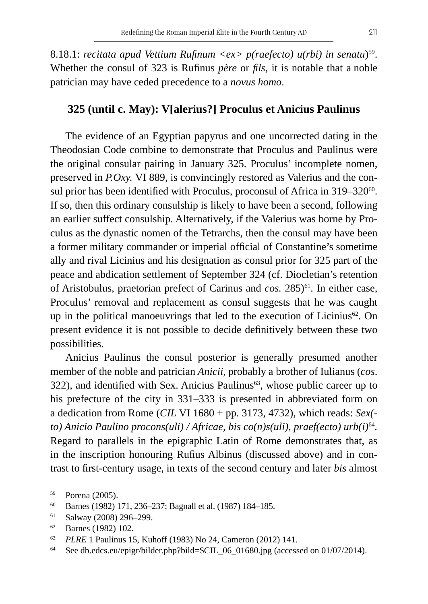8.18.1: *recitata apud Vettium Rufinum <ex> p(raefecto) u(rbi) in senatu)*<sup>59</sup>. Whether the consul of 323 is Rufinus *père* or *fils*, it is notable that a noble patrician may have ceded precedence to a *novus homo*.

#### **325 (until c. May): V[alerius?] Proculus et Anicius Paulinus**

The evidence of an Egyptian papyrus and one uncorrected dating in the Theodosian Code combine to demonstrate that Proculus and Paulinus were the original consular pairing in January 325. Proculus' incomplete nomen, preserved in *P.Oxy.* VI 889, is convincingly restored as Valerius and the consul prior has been identified with Proculus, proconsul of Africa in 319–320<sup>60</sup>. If so, then this ordinary consulship is likely to have been a second, following an earlier suffect consulship. Alternatively, if the Valerius was borne by Proculus as the dynastic nomen of the Tetrarchs, then the consul may have been a former military commander or imperial official of Constantine's sometime ally and rival Licinius and his designation as consul prior for 325 part of the peace and abdication settlement of September 324 (cf. Diocletian's retention of Aristobulus, praetorian prefect of Carinus and *cos*. 285)<sup>61</sup>. In either case, Proculus' removal and replacement as consul suggests that he was caught up in the political manoeuvrings that led to the execution of Licinius $62$ . On present evidence it is not possible to decide definitively between these two possibilities.

Anicius Paulinus the consul posterior is generally presumed another member of the noble and patrician *Anicii*, probably a brother of Iulianus (*cos*. 322), and identified with Sex. Anicius Paulinus<sup>63</sup>, whose public career up to his prefecture of the city in 331–333 is presented in abbreviated form on a dedication from Rome (*CIL* VI 1680 + pp. 3173, 4732), which reads: *Sex( to) Anicio Paulino procons(uli) / Africae, bis co(n)s(uli), praef(ecto) urb(i)*<sup>64</sup>*.* Regard to parallels in the epigraphic Latin of Rome demonstrates that, as in the inscription honouring Rufius Albinus (discussed above) and in contrast to first-century usage, in texts of the second century and later *bis* almost

<sup>59</sup> Porena (2005).

<sup>60</sup> Barnes (1982) 171, 236–237; Bagnall et al. (1987) 184–185.

 $61$  Salway (2008) 296-299.

<sup>62</sup> Barnes (1982) 102.

<sup>63</sup> *PLRE* 1 Paulinus 15, Kuhoff (1983) No 24, Cameron (2012) 141.

<sup>64</sup> See db.edcs.eu/epigr/bilder.php?bild=\$CIL\_06\_01680.jpg (accessed on 01/07/2014).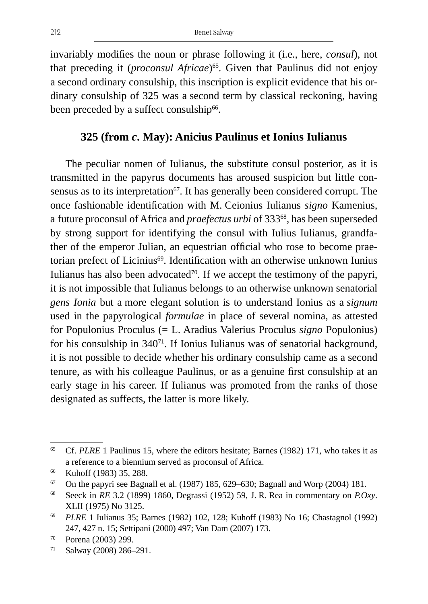invariably modifies the noun or phrase following it (i.e., here, *consul*), not that preceding it (*proconsul Africae*)<sup>65</sup>. Given that Paulinus did not enjoy a second ordinary consulship, this inscription is explicit evidence that his ordinary consulship of 325 was a second term by classical reckoning, having been preceded by a suffect consulship<sup>66</sup>.

### **325 (from** *c***. May): Anicius Paulinus et Ionius Iulianus**

The peculiar nomen of Iulianus, the substitute consul posterior, as it is transmitted in the papyrus documents has aroused suspicion but little consensus as to its interpretation<sup>67</sup>. It has generally been considered corrupt. The once fashionable identification with M. Ceionius Iulianus *signo* Kamenius, a future proconsul of Africa and *praefectus urbi* of 333<sup>68</sup>, has been superseded by strong support for identifying the consul with Iulius Iulianus, grandfather of the emperor Julian, an equestrian official who rose to become praetorian prefect of Licinius<sup>69</sup>. Identification with an otherwise unknown Iunius Iulianus has also been advocated $70$ . If we accept the testimony of the papyri, it is not impossible that Iulianus belongs to an otherwise unknown senatorial *gens Ionia* but a more elegant solution is to understand Ionius as a *signum* used in the papyrological *formulae* in place of several nomina, as attested for Populonius Proculus (= L. Aradius Valerius Proculus *signo* Populonius) for his consulship in 34071. If Ionius Iulianus was of senatorial background, it is not possible to decide whether his ordinary consulship came as a second tenure, as with his colleague Paulinus, or as a genuine first consulship at an early stage in his career. If Iulianus was promoted from the ranks of those designated as suffects, the latter is more likely.

<sup>65</sup> Cf. *PLRE* 1 Paulinus 15, where the editors hesitate; Barnes (1982) 171, who takes it as a reference to a biennium served as proconsul of Africa.

<sup>&</sup>lt;sup>66</sup> Kuhoff (1983) 35, 288.

 $67$  On the papyri see Bagnall et al. (1987) 185, 629–630; Bagnall and Worp (2004) 181.

<sup>68</sup> Seeck in *RE* 3.2 (1899) 1860, Degrassi (1952) 59, J. R. Rea in commentary on *P.Oxy*. XLII (1975) No 3125.

<sup>69</sup> *PLRE* 1 Iulianus 35; Barnes (1982) 102, 128; Kuhoff (1983) No 16; Chastagnol (1992) 247, 427 n. 15; Settipani (2000) 497; Van Dam (2007) 173.

<sup>70</sup> Porena (2003) 299.

<sup>71</sup> Salway (2008) 286–291.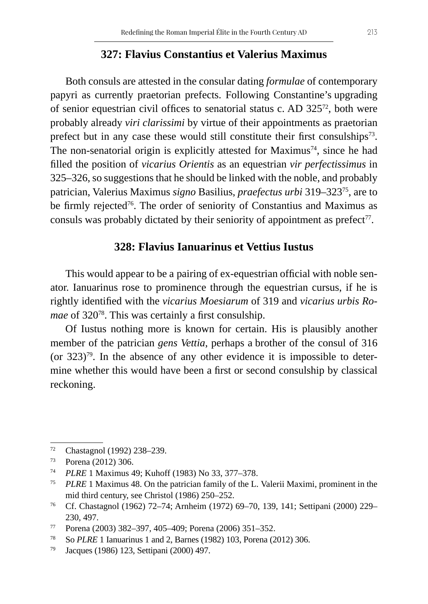#### **327: Flavius Constantius et Valerius Maximus**

Both consuls are attested in the consular dating *formulae* of contemporary papyri as currently praetorian prefects. Following Constantine's upgrading of senior equestrian civil offices to senatorial status c. AD 32572, both were probably already *viri clarissimi* by virtue of their appointments as praetorian prefect but in any case these would still constitute their first consulships<sup>73</sup>. The non-senatorial origin is explicitly attested for Maximus<sup>74</sup>, since he had filled the position of *vicarius Orientis* as an equestrian *vir perfectissimus* in 325–326, so suggestions that he should be linked with the noble, and probably patrician, Valerius Maximus *signo* Basilius, *praefectus urbi* 319–32375, are to be firmly rejected<sup>76</sup>. The order of seniority of Constantius and Maximus as consuls was probably dictated by their seniority of appointment as  $predict<sup>77</sup>$ .

#### **328: Flavius Ianuarinus et Vettius Iustus**

This would appear to be a pairing of ex-equestrian official with noble senator. Ianuarinus rose to prominence through the equestrian cursus, if he is rightly identified with the *vicarius Moesiarum* of 319 and *vicarius urbis Romae* of 320<sup>78</sup>. This was certainly a first consulship.

Of Iustus nothing more is known for certain. His is plausibly another member of the patrician *gens Vettia*, perhaps a brother of the consul of 316 (or 323)79. In the absence of any other evidence it is impossible to determine whether this would have been a first or second consulship by classical reckoning.

<sup>72</sup> Chastagnol (1992) 238–239.

<sup>73</sup> Porena (2012) 306.

<sup>74</sup> *PLRE* 1 Maximus 49; Kuhoff (1983) No 33, 377–378.

<sup>75</sup> *PLRE* 1 Maximus 48. On the patrician family of the L. Valerii Maximi, prominent in the mid third century, see Christol (1986) 250–252.

<sup>76</sup> Cf. Chastagnol (1962) 72–74; Arnheim (1972) 69–70, 139, 141; Settipani (2000) 229– 230, 497.

<sup>77</sup> Porena (2003) 382–397, 405–409; Porena (2006) 351–352.

<sup>78</sup> So *PLRE* 1 Ianuarinus 1 and 2, Barnes (1982) 103, Porena (2012) 306.

<sup>79</sup> Jacques (1986) 123, Settipani (2000) 497.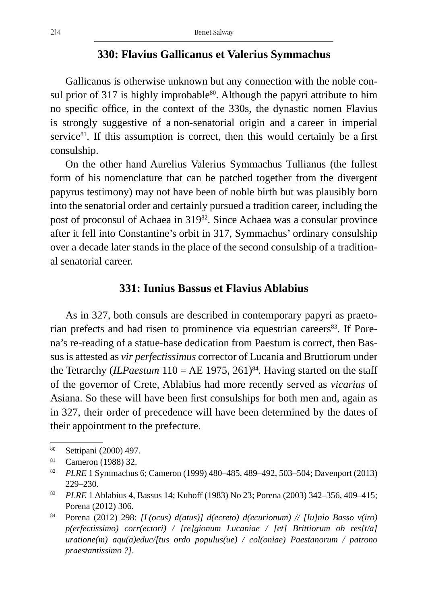#### **330: Flavius Gallicanus et Valerius Symmachus**

Gallicanus is otherwise unknown but any connection with the noble consul prior of 317 is highly improbable $80$ . Although the papyri attribute to him no specific office, in the context of the 330s, the dynastic nomen Flavius is strongly suggestive of a non-senatorial origin and a career in imperial service $81$ . If this assumption is correct, then this would certainly be a first consulship.

On the other hand Aurelius Valerius Symmachus Tullianus (the fullest form of his nomenclature that can be patched together from the divergent papyrus testimony) may not have been of noble birth but was plausibly born into the senatorial order and certainly pursued a tradition career, including the post of proconsul of Achaea in 319<sup>82</sup>. Since Achaea was a consular province after it fell into Constantine's orbit in 317, Symmachus' ordinary consulship over a decade later stands in the place of the second consulship of a traditional senatorial career.

#### **331: Iunius Bassus et Flavius Ablabius**

As in 327, both consuls are described in contemporary papyri as praetorian prefects and had risen to prominence via equestrian careers<sup>83</sup>. If Porena's re-reading of a statue-base dedication from Paestum is correct, then Bassus is attested as *vir perfectissimus* corrector of Lucania and Bruttiorum under the Tetrarchy (*ILPaestum* 110 = AE 1975, 261)<sup>84</sup>. Having started on the staff of the governor of Crete, Ablabius had more recently served as *vicarius* of Asiana. So these will have been first consulships for both men and, again as in 327, their order of precedence will have been determined by the dates of their appointment to the prefecture.

<sup>80</sup> Settipani (2000) 497.

<sup>81</sup> Cameron (1988) 32.

<sup>82</sup> *PLRE* 1 Symmachus 6; Cameron (1999) 480–485, 489–492, 503–504; Davenport (2013) 229–230.

<sup>83</sup> *PLRE* 1 Ablabius 4, Bassus 14; Kuhoff (1983) No 23; Porena (2003) 342–356, 409–415; Porena (2012) 306.

<sup>84</sup> Porena (2012) 298: *[L(ocus) d(atus)] d(ecreto) d(ecurionum) // [Iu]nio Basso v(iro) p(erfectissimo) corr(ectori) / [re]gionum Lucaniae / [et] Brittiorum ob res[t/a] uratione(m) aqu(a)educ/[tus ordo populus(ue) / col(oniae) Paestanorum / patrono praestantissimo ?]*.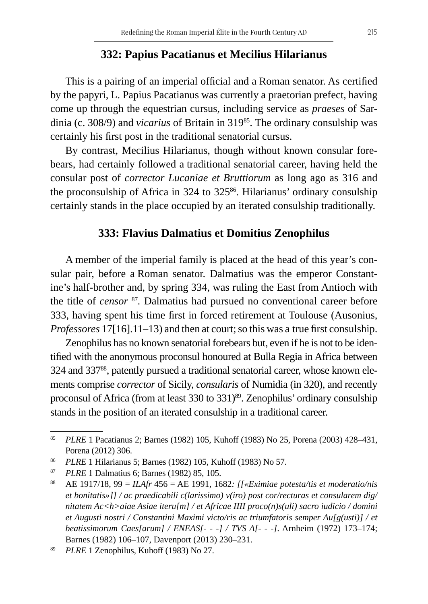#### **332: Papius Pacatianus et Mecilius Hilarianus**

This is a pairing of an imperial official and a Roman senator. As certified by the papyri, L. Papius Pacatianus was currently a praetorian prefect, having come up through the equestrian cursus, including service as *praeses* of Sardinia (c. 308/9) and *vicarius* of Britain in 319<sup>85</sup>. The ordinary consulship was certainly his first post in the traditional senatorial cursus.

By contrast, Mecilius Hilarianus, though without known consular forebears, had certainly followed a traditional senatorial career, having held the consular post of *corrector Lucaniae et Bruttiorum* as long ago as 316 and the proconsulship of Africa in 324 to 325<sup>86</sup>. Hilarianus' ordinary consulship certainly stands in the place occupied by an iterated consulship traditionally.

#### **333: Flavius Dalmatius et Domitius Zenophilus**

A member of the imperial family is placed at the head of this year's consular pair, before a Roman senator. Dalmatius was the emperor Constantine's half-brother and, by spring 334, was ruling the East from Antioch with the title of *censor* <sup>87</sup>*.* Dalmatius had pursued no conventional career before 333, having spent his time first in forced retirement at Toulouse (Ausonius, *Professores* 17[16].11–13) and then at court; so this was a true first consulship.

Zenophilus has no known senatorial forebears but, even if he is not to be identified with the anonymous proconsul honoured at Bulla Regia in Africa between 324 and 33788, patently pursued a traditional senatorial career, whose known elements comprise *corrector* of Sicily, *consularis* of Numidia (in 320), and recently proconsul of Africa (from at least 330 to 331)<sup>89</sup>. Zenophilus' ordinary consulship stands in the position of an iterated consulship in a traditional career.

<sup>85</sup> *PLRE* 1 Pacatianus 2; Barnes (1982) 105, Kuhoff (1983) No 25, Porena (2003) 428–431, Porena (2012) 306.

<sup>86</sup> *PLRE* 1 Hilarianus 5; Barnes (1982) 105, Kuhoff (1983) No 57.

<sup>87</sup> *PLRE* 1 Dalmatius 6; Barnes (1982) 85, 105.

<sup>88</sup> AE 1917/18, 99 = *ILAfr* 456 = AE 1991, 1682*: [[«Eximiae potesta/tis et moderatio/nis et bonitatis»]] / ac praedicabili c(larissimo) v(iro) post cor/recturas et consularem dig/ nitatem Ac<h>aiae Asiae iteru[m] / et Africae IIII proco(n)s(uli) sacro iudicio / domini et Augusti nostri / Constantini Maximi victo/ris ac triumfatoris semper Au[g(usti)] / et beatissimorum Caes[arum] / ENEAS[- - -] / TVS A[- - -]*. Arnheim (1972) 173–174; Barnes (1982) 106–107, Davenport (2013) 230–231.

<sup>89</sup> *PLRE* 1 Zenophilus, Kuhoff (1983) No 27.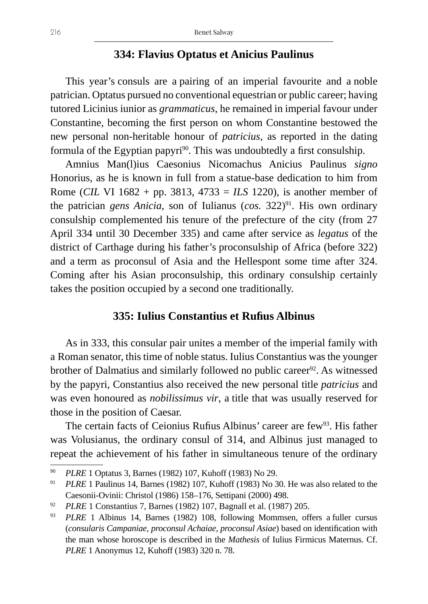# **334: Flavius Optatus et Anicius Paulinus**

This year's consuls are a pairing of an imperial favourite and a noble patrician. Optatus pursued no conventional equestrian or public career; having tutored Licinius iunior as *grammaticus*, he remained in imperial favour under Constantine, becoming the first person on whom Constantine bestowed the new personal non-heritable honour of *patricius*, as reported in the dating formula of the Egyptian papyri<sup>90</sup>. This was undoubtedly a first consulship.

Amnius Man(l)ius Caesonius Nicomachus Anicius Paulinus *signo* Honorius, as he is known in full from a statue-base dedication to him from Rome (*CIL* VI 1682 + pp. 3813, 4733 = *ILS* 1220), is another member of the patrician *gens Anicia*, son of Iulianus (*cos.* 322)<sup>91</sup>. His own ordinary consulship complemented his tenure of the prefecture of the city (from 27 April 334 until 30 December 335) and came after service as *legatus* of the district of Carthage during his father's proconsulship of Africa (before 322) and a term as proconsul of Asia and the Hellespont some time after 324. Coming after his Asian proconsulship, this ordinary consulship certainly takes the position occupied by a second one traditionally.

#### **335: Iulius Constantius et Rufius Albinus**

As in 333, this consular pair unites a member of the imperial family with a Roman senator, this time of noble status. Iulius Constantius was the younger brother of Dalmatius and similarly followed no public career<sup>92</sup>. As witnessed by the papyri, Constantius also received the new personal title *patricius* and was even honoured as *nobilissimus vir*, a title that was usually reserved for those in the position of Caesar.

The certain facts of Ceionius Rufius Albinus' career are few<sup>93</sup>. His father was Volusianus, the ordinary consul of 314, and Albinus just managed to repeat the achievement of his father in simultaneous tenure of the ordinary

<sup>90</sup> *PLRE* 1 Optatus 3, Barnes (1982) 107, Kuhoff (1983) No 29.

<sup>91</sup> *PLRE* 1 Paulinus 14, Barnes (1982) 107, Kuhoff (1983) No 30. He was also related to the Caesonii-Ovinii: Christol (1986) 158–176, Settipani (2000) 498.

<sup>92</sup> *PLRE* 1 Constantius 7, Barnes (1982) 107, Bagnall et al. (1987) 205.

<sup>93</sup> *PLRE* 1 Albinus 14, Barnes (1982) 108, following Mommsen, offers a fuller cursus (*consularis Campaniae, proconsul Achaiae, proconsul Asiae*) based on identification with the man whose horoscope is described in the *Mathesis* of Iulius Firmicus Maternus. Cf. *PLRE* 1 Anonymus 12, Kuhoff (1983) 320 n. 78.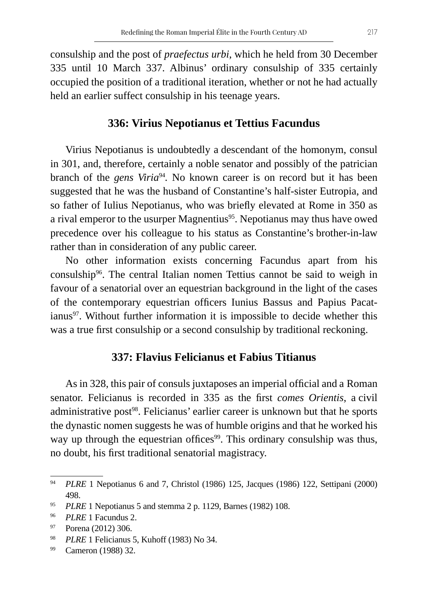consulship and the post of *praefectus urbi*, which he held from 30 December 335 until 10 March 337. Albinus' ordinary consulship of 335 certainly occupied the position of a traditional iteration, whether or not he had actually held an earlier suffect consulship in his teenage years.

### **336: Virius Nepotianus et Tettius Facundus**

Virius Nepotianus is undoubtedly a descendant of the homonym, consul in 301, and, therefore, certainly a noble senator and possibly of the patrician branch of the *gens Viria*<sup>94</sup>. No known career is on record but it has been suggested that he was the husband of Constantine's half-sister Eutropia, and so father of Iulius Nepotianus, who was briefly elevated at Rome in 350 as a rival emperor to the usurper Magnentius<sup>95</sup>. Nepotianus may thus have owed precedence over his colleague to his status as Constantine's brother-in-law rather than in consideration of any public career.

No other information exists concerning Facundus apart from his consulship96. The central Italian nomen Tettius cannot be said to weigh in favour of a senatorial over an equestrian background in the light of the cases of the contemporary equestrian officers Iunius Bassus and Papius Pacatianus<sup>97</sup>. Without further information it is impossible to decide whether this was a true first consulship or a second consulship by traditional reckoning.

#### **337: Flavius Felicianus et Fabius Titianus**

As in 328, this pair of consuls juxtaposes an imperial official and a Roman senator. Felicianus is recorded in 335 as the first *comes Orientis*, a civil administrative post<sup>98</sup>. Felicianus' earlier career is unknown but that he sports the dynastic nomen suggests he was of humble origins and that he worked his way up through the equestrian offices<sup>99</sup>. This ordinary consulship was thus, no doubt, his first traditional senatorial magistracy.

<sup>94</sup> *PLRE* 1 Nepotianus 6 and 7, Christol (1986) 125, Jacques (1986) 122, Settipani (2000) 498.

<sup>95</sup> *PLRE* 1 Nepotianus 5 and stemma 2 p. 1129, Barnes (1982) 108.

<sup>96</sup> *PLRE* 1 Facundus 2.

<sup>97</sup> Porena (2012) 306.

<sup>98</sup> *PLRE* 1 Felicianus 5, Kuhoff (1983) No 34.

<sup>99</sup> Cameron (1988) 32.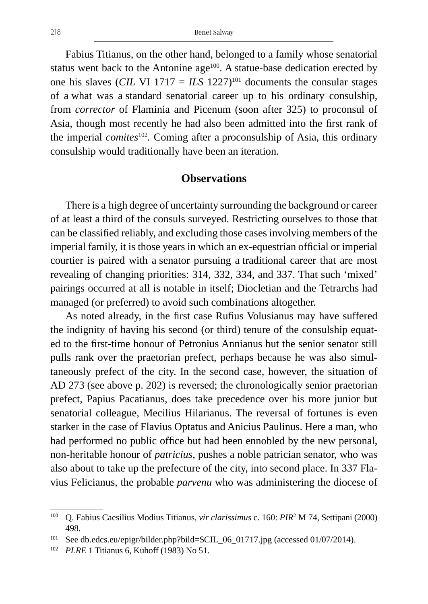Fabius Titianus, on the other hand, belonged to a family whose senatorial status went back to the Antonine age<sup>100</sup>. A statue-base dedication erected by one his slaves (*CIL VI* 1717 = *ILS* 1227)<sup>101</sup> documents the consular stages of a what was a standard senatorial career up to his ordinary consulship, from *corrector* of Flaminia and Picenum (soon after 325) to proconsul of Asia, though most recently he had also been admitted into the first rank of the imperial *comites*<sup>102</sup>*.* Coming after a proconsulship of Asia, this ordinary consulship would traditionally have been an iteration.

#### **Observations**

There is a high degree of uncertainty surrounding the background or career of at least a third of the consuls surveyed. Restricting ourselves to those that can be classified reliably, and excluding those cases involving members of the imperial family, it is those years in which an ex-equestrian official or imperial courtier is paired with a senator pursuing a traditional career that are most revealing of changing priorities: 314, 332, 334, and 337. That such 'mixed' pairings occurred at all is notable in itself; Diocletian and the Tetrarchs had managed (or preferred) to avoid such combinations altogether.

As noted already, in the first case Rufius Volusianus may have suffered the indignity of having his second (or third) tenure of the consulship equated to the first-time honour of Petronius Annianus but the senior senator still pulls rank over the praetorian prefect, perhaps because he was also simultaneously prefect of the city. In the second case, however, the situation of AD 273 (see above p. 202) is reversed; the chronologically senior praetorian prefect, Papius Pacatianus, does take precedence over his more junior but senatorial colleague, Mecilius Hilarianus. The reversal of fortunes is even starker in the case of Flavius Optatus and Anicius Paulinus. Here a man, who had performed no public office but had been ennobled by the new personal, non-heritable honour of *patricius*, pushes a noble patrician senator, who was also about to take up the prefecture of the city, into second place. In 337 Flavius Felicianus, the probable *parvenu* who was administering the diocese of

<sup>100</sup> Q. Fabius Caesilius Modius Titianus, *vir clarissimus* c. 160: *PIR*<sup>2</sup> M 74, Settipani (2000) 498.

<sup>&</sup>lt;sup>101</sup> See db.edcs.eu/epigr/bilder.php?bild=\$CIL\_06\_01717.jpg (accessed 01/07/2014).

<sup>102</sup> *PLRE* 1 Titianus 6, Kuhoff (1983) No 51.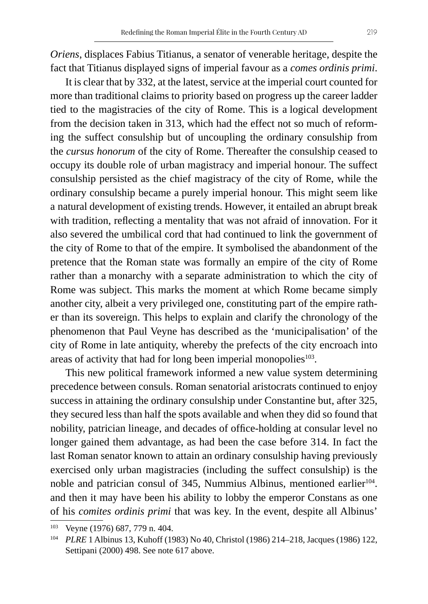*Oriens*, displaces Fabius Titianus, a senator of venerable heritage, despite the fact that Titianus displayed signs of imperial favour as a *comes ordinis primi*.

It is clear that by 332, at the latest, service at the imperial court counted for more than traditional claims to priority based on progress up the career ladder tied to the magistracies of the city of Rome. This is a logical development from the decision taken in 313, which had the effect not so much of reforming the suffect consulship but of uncoupling the ordinary consulship from the *cursus honorum* of the city of Rome. Thereafter the consulship ceased to occupy its double role of urban magistracy and imperial honour. The suffect consulship persisted as the chief magistracy of the city of Rome, while the ordinary consulship became a purely imperial honour. This might seem like a natural development of existing trends. However, it entailed an abrupt break with tradition, reflecting a mentality that was not afraid of innovation. For it also severed the umbilical cord that had continued to link the government of the city of Rome to that of the empire. It symbolised the abandonment of the pretence that the Roman state was formally an empire of the city of Rome rather than a monarchy with a separate administration to which the city of Rome was subject. This marks the moment at which Rome became simply another city, albeit a very privileged one, constituting part of the empire rather than its sovereign. This helps to explain and clarify the chronology of the phenomenon that Paul Veyne has described as the 'municipalisation' of the city of Rome in late antiquity, whereby the prefects of the city encroach into areas of activity that had for long been imperial monopolies $103$ .

This new political framework informed a new value system determining precedence between consuls. Roman senatorial aristocrats continued to enjoy success in attaining the ordinary consulship under Constantine but, after 325, they secured less than half the spots available and when they did so found that nobility, patrician lineage, and decades of office-holding at consular level no longer gained them advantage, as had been the case before 314. In fact the last Roman senator known to attain an ordinary consulship having previously exercised only urban magistracies (including the suffect consulship) is the noble and patrician consul of 345, Nummius Albinus, mentioned earlier<sup>104</sup>. and then it may have been his ability to lobby the emperor Constans as one of his *comites ordinis primi* that was key. In the event, despite all Albinus'

<sup>103</sup> Veyne (1976) 687, 779 n. 404.

<sup>104</sup> *PLRE* 1 Albinus 13, Kuhoff (1983) No 40, Christol (1986) 214–218, Jacques (1986) 122, Settipani (2000) 498. See note 617 above.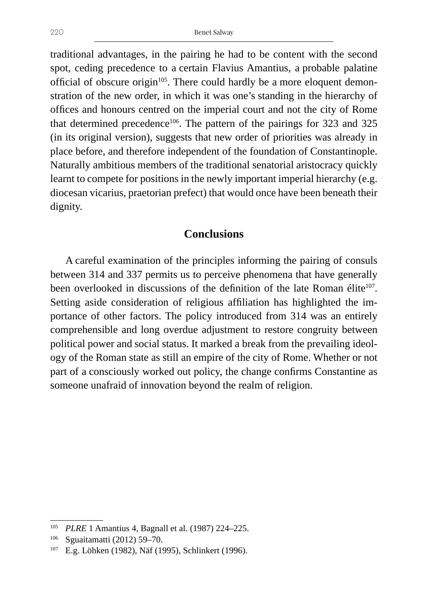traditional advantages, in the pairing he had to be content with the second spot, ceding precedence to a certain Flavius Amantius, a probable palatine official of obscure origin $105$ . There could hardly be a more eloquent demonstration of the new order, in which it was one's standing in the hierarchy of offices and honours centred on the imperial court and not the city of Rome that determined precedence<sup>106</sup>. The pattern of the pairings for 323 and 325 (in its original version), suggests that new order of priorities was already in place before, and therefore independent of the foundation of Constantinople. Naturally ambitious members of the traditional senatorial aristocracy quickly learnt to compete for positions in the newly important imperial hierarchy (e.g. diocesan vicarius, praetorian prefect) that would once have been beneath their dignity.

#### **Conclusions**

A careful examination of the principles informing the pairing of consuls between 314 and 337 permits us to perceive phenomena that have generally been overlooked in discussions of the definition of the late Roman élite<sup>107</sup>. Setting aside consideration of religious affiliation has highlighted the importance of other factors. The policy introduced from 314 was an entirely comprehensible and long overdue adjustment to restore congruity between political power and social status. It marked a break from the prevailing ideology of the Roman state as still an empire of the city of Rome. Whether or not part of a consciously worked out policy, the change confirms Constantine as someone unafraid of innovation beyond the realm of religion.

<sup>105</sup> *PLRE* 1 Amantius 4, Bagnall et al. (1987) 224–225.

<sup>106</sup> Sguaitamatti (2012) 59–70.

<sup>107</sup> E.g. Löhken (1982), Näf (1995), Schlinkert (1996).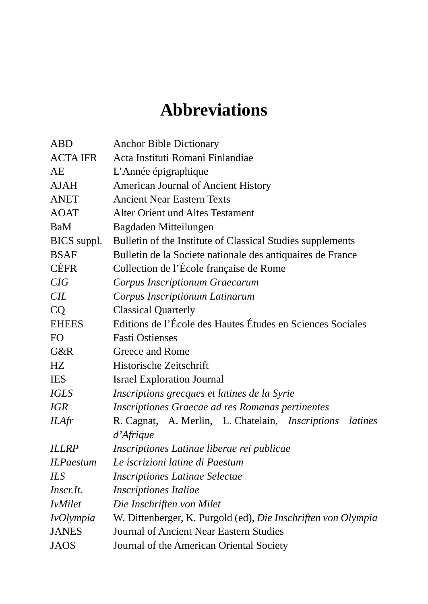# **Abbreviations**

| ABD              | <b>Anchor Bible Dictionary</b>                                     |
|------------------|--------------------------------------------------------------------|
| <b>ACTA IFR</b>  | Acta Instituti Romani Finlandiae                                   |
| AE               | L'Année épigraphique                                               |
| <b>AJAH</b>      | American Journal of Ancient History                                |
| <b>ANET</b>      | <b>Ancient Near Eastern Texts</b>                                  |
| <b>AOAT</b>      | <b>Alter Orient und Altes Testament</b>                            |
| BaM              | Bagdaden Mitteilungen                                              |
| BICS suppl.      | Bulletin of the Institute of Classical Studies supplements         |
| <b>BSAF</b>      | Bulletin de la Societe nationale des antiquaires de France         |
| <b>CÉFR</b>      | Collection de l'École française de Rome                            |
| CIG              | Corpus Inscriptionum Graecarum                                     |
| <b>CIL</b>       | Corpus Inscriptionum Latinarum                                     |
| CQ               | <b>Classical Quarterly</b>                                         |
| <b>EHEES</b>     | Editions de l'École des Hautes Études en Sciences Sociales         |
| FO               | <b>Fasti Ostienses</b>                                             |
| G&R              | <b>Greece and Rome</b>                                             |
| HZ               | Historische Zeitschrift                                            |
| <b>IES</b>       | <b>Israel Exploration Journal</b>                                  |
| <b>IGLS</b>      | Inscriptions grecques et latines de la Syrie                       |
| <b>IGR</b>       | Inscriptiones Graecae ad res Romanas pertinentes                   |
| <b>ILAfr</b>     | R. Cagnat, A. Merlin, L. Chatelain, <i>Inscriptions</i><br>latines |
|                  | d'Afrique                                                          |
| <b>ILLRP</b>     | Inscriptiones Latinae liberae rei publicae                         |
| <b>ILPaestum</b> | Le iscrizioni latine di Paestum                                    |
| <b>ILS</b>       | <b>Inscriptiones Latinae Selectae</b>                              |
| Inscr.It.        | <b>Inscriptiones Italiae</b>                                       |
| <b>IvMilet</b>   | Die Inschriften von Milet                                          |
| IvOlympia        | W. Dittenberger, K. Purgold (ed), Die Inschriften von Olympia      |
| <b>JANES</b>     | Journal of Ancient Near Eastern Studies                            |
| <b>JAOS</b>      | Journal of the American Oriental Society                           |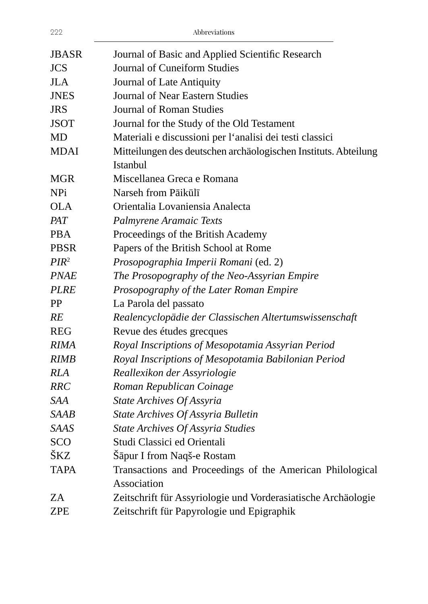| <b>JBASR</b>     | Journal of Basic and Applied Scientific Research                |
|------------------|-----------------------------------------------------------------|
| <b>JCS</b>       | Journal of Cuneiform Studies                                    |
| <b>JLA</b>       | Journal of Late Antiquity                                       |
| <b>JNES</b>      | Journal of Near Eastern Studies                                 |
| <b>JRS</b>       | Journal of Roman Studies                                        |
| <b>JSOT</b>      | Journal for the Study of the Old Testament                      |
| MD               | Materiali e discussioni per l'analisi dei testi classici        |
| <b>MDAI</b>      | Mitteilungen des deutschen archäologischen Instituts. Abteilung |
|                  | <b>Istanbul</b>                                                 |
| MGR              | Miscellanea Greca e Romana                                      |
| <b>NPi</b>       | Narseh from Pāikūlī                                             |
| <b>OLA</b>       | Orientalia Lovaniensia Analecta                                 |
| PAT              | Palmyrene Aramaic Texts                                         |
| <b>PBA</b>       | Proceedings of the British Academy                              |
| <b>PBSR</b>      | Papers of the British School at Rome                            |
| PIR <sup>2</sup> | Prosopographia Imperii Romani (ed. 2)                           |
| <b>PNAE</b>      | The Prosopography of the Neo-Assyrian Empire                    |
| <b>PLRE</b>      | Prosopography of the Later Roman Empire                         |
| PP               | La Parola del passato                                           |
| RE               | Realencyclopädie der Classischen Altertumswissenschaft          |
| <b>REG</b>       | Revue des études grecques                                       |
| <b>RIMA</b>      | Royal Inscriptions of Mesopotamia Assyrian Period               |
| <b>RIMB</b>      | Royal Inscriptions of Mesopotamia Babilonian Period             |
| <b>RLA</b>       | Reallexikon der Assyriologie                                    |
| <b>RRC</b>       | Roman Republican Coinage                                        |
| SAA              | <b>State Archives Of Assyria</b>                                |
| <b>SAAB</b>      | State Archives Of Assyria Bulletin                              |
| <b>SAAS</b>      | <b>State Archives Of Assyria Studies</b>                        |
| <b>SCO</b>       | Studi Classici ed Orientali                                     |
| ŠKZ              | Šāpur I from Naqš-e Rostam                                      |
| <b>TAPA</b>      | Transactions and Proceedings of the American Philological       |
|                  | Association                                                     |
| ΖA               | Zeitschrift für Assyriologie und Vorderasiatische Archäologie   |
| ZPE              | Zeitschrift für Papyrologie und Epigraphik                      |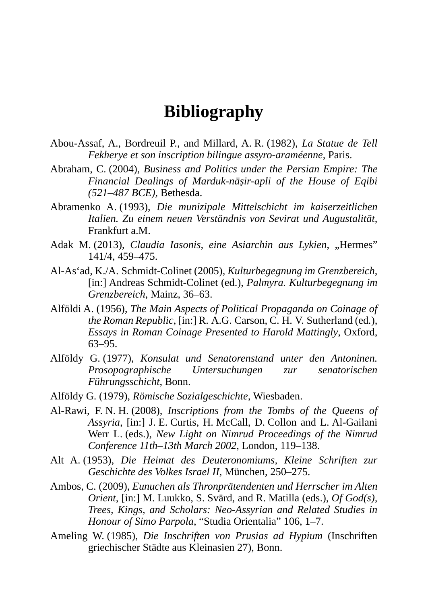# **Bibliography**

- Abou-Assaf, A., Bordreuil P., and Millard, A. R. (1982), *La Statue de Tell Fekherye et son inscription bilingue assyro-araméenne*, Paris.
- Abraham, C. (2004), *Business and Politics under the Persian Empire: The Financial Dealings of Marduk-nāṣir-apli of the House of Eqibi (521–487 BCE)*, Bethesda.
- Abramenko A. (1993), *Die munizipale Mittelschicht im kaiserzeitlichen Italien. Zu einem neuen Verständnis von Sevirat und Augustalität*, Frankfurt a.M.
- Adak M. (2013), *Claudia Iasonis, eine Asiarchin aus Lykien, "Hermes*" 141/4, 459*–*475.
- Al-As'ad, K./A. Schmidt-Colinet (2005), *Kulturbegegnung im Grenzbereich*, [in:] Andreas Schmidt-Colinet (ed.), *Palmyra. Kulturbegegnung im Grenzbereich*, Mainz, 36–63.
- Alföldi A. (1956), *The Main Aspects of Political Propaganda on Coinage of the Roman Republic*, [in:] R. A.G. Carson, C. H. V. Sutherland (ed*.*), *Essays in Roman Coinage Presented to Harold Mattingly*, Oxford, 63–95.
- Alföldy G. (1977), *Konsulat und Senatorenstand unter den Antoninen. Prosopographische Untersuchungen zur senatorischen Führungsschicht*, Bonn.
- Alföldy G. (1979), *Römische Sozialgeschichte*, Wiesbaden.
- Al-Rawi, F. N. H. (2008), *Inscriptions from the Tombs of the Queens of Assyria*, [in:] J. E. Curtis, H. McCall, D. Collon and L. Al-Gailani Werr L. (eds.), *New Light on Nimrud Proceedings of the Nimrud Conference 11th–13th March 2002*, London, 119–138.
- Alt A. (1953), *Die Heimat des Deuteronomiums, Kleine Schriften zur Geschichte des Volkes Israel II*, München, 250–275.
- Ambos, C. (2009), *Eunuchen als Thronprätendenten und Herrscher im Alten Orient*, [in:] M. Luukko, S. Svärd, and R. Matilla (eds.), *Of God(s), Trees, Kings, and Scholars: Neo-Assyrian and Related Studies in Honour of Simo Parpola*, "Studia Orientalia" 106, 1–7.
- Ameling W. (1985), *Die Inschriften von Prusias ad Hypium* (Inschriften griechischer Städte aus Kleinasien 27), Bonn.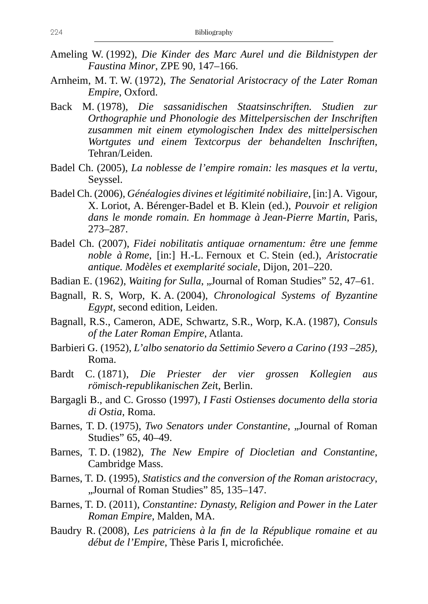- Ameling W. (1992), *Die Kinder des Marc Aurel und die Bildnistypen der Faustina Minor*, ZPE 90, 147–166.
- Arnheim, M. T. W. (1972), *The Senatorial Aristocracy of the Later Roman Empire*, Oxford.
- Back M. (1978), *Die sassanidischen Staatsinschriften. Studien zur Orthographie und Phonologie des Mittelpersischen der Inschriften zusammen mit einem etymologischen Index des mittelpersischen Wortgutes und einem Textcorpus der behandelten Inschriften*, Tehran/Leiden.
- Badel Ch. (2005), *La noblesse de l'empire romain: les masques et la vertu*, Seyssel.
- Badel Ch. (2006), *Généalogies divines et légitimité nobiliaire*, [in:] A. Vigour, X. Loriot, A. Bérenger-Badel et B. Klein (ed.), *Pouvoir et religion dans le monde romain. En hommage à Jean-Pierre Martin*, Paris, 273–287.
- Badel Ch. (2007), *Fidei nobilitatis antiquae ornamentum: être une femme noble à Rome*, [in:] H.-L. Fernoux et C. Stein (ed.), *Aristocratie antique. Modèles et exemplarité sociale*, Dijon, 201–220.
- Badian E. (1962), *Waiting for Sulla*, "Journal of Roman Studies" 52, 47–61.
- Bagnall, R. S, Worp, K. A. (2004), *Chronological Systems of Byzantine Egypt*, second edition, Leiden.
- Bagnall, R.S., Cameron, ADE, Schwartz, S.R., Worp, K.A. (1987), *Consuls of the Later Roman Empire*, Atlanta.
- Barbieri G. (1952), *L'albo senatorio da Settimio Severo a Carino (193 –285)*, Roma.
- Bardt C. (1871), *Die Priester der vier grossen Kollegien aus römisch-republikanischen Zei*t, Berlin.
- Bargagli B., and C. Grosso (1997), *I Fasti Ostienses documento della storia di Ostia*, Roma.
- Barnes, T. D. (1975), *Two Senators under Constantine*, "Journal of Roman Studies" 65, 40–49.
- Barnes, T. D. (1982), *The New Empire of Diocletian and Constantine*, Cambridge Mass.
- Barnes, T. D. (1995), *Statistics and the conversion of the Roman aristocracy*, "Journal of Roman Studies" 85, 135–147.
- Barnes, T. D. (2011), *Constantine: Dynasty, Religion and Power in the Later Roman Empire*, Malden, MA.
- Baudry R. (2008), *Les patriciens à la fin de la République romaine et au début de l'Empire*, Thèse Paris I, microfichée.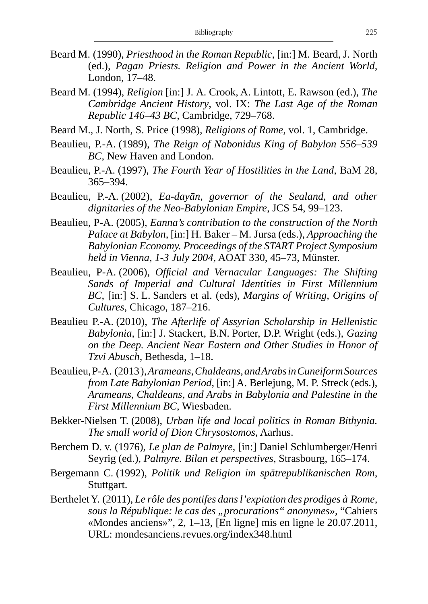- Beard M. (1990), *Priesthood in the Roman Republic*, [in:] M. Beard, J. North (ed.), *Pagan Priests. Religion and Power in the Ancient World*, London, 17–48.
- Beard M. (1994), *Religion* [in:] J. A. Crook, A. Lintott, E. Rawson (ed.), *The Cambridge Ancient History*, vol. IX: *The Last Age of the Roman Republic 146–43 BC*, Cambridge, 729–768.
- Beard M., J. North, S. Price (1998), *Religions of Rome*, vol. 1, Cambridge.
- Beaulieu, P.-A. (1989), *The Reign of Nabonidus King of Babylon 556–539 BC*, New Haven and London.
- Beaulieu, P.-A. (1997), *The Fourth Year of Hostilities in the Land*, BaM 28, 365–394.
- Beaulieu, P.-A. (2002), *Ea-dayān, governor of the Sealand, and other dignitaries of the Neo-Babylonian Empire*, JCS 54, 99–123.
- Beaulieu, P-A. (2005), *Eanna's contribution to the construction of the North Palace at Babylon*, [in:] H. Baker – M. Jursa (eds.), *Approaching the Babylonian Economy. Proceedings of the START Project Symposium held in Vienna, 1-3 July 2004*, AOAT 330, 45–73, Münster.
- Beaulieu, P-A. (2006), *Official and Vernacular Languages: The Shifting Sands of Imperial and Cultural Identities in First Millennium BC*, [in:] S. L. Sanders et al. (eds), *Margins of Writing, Origins of Cultures*, Chicago, 187–216.
- Beaulieu P.-A. (2010), *The Afterlife of Assyrian Scholarship in Hellenistic Babylonia*, [in:] J. Stackert, B.N. Porter, D.P. Wright (eds.), *Gazing on the Deep. Ancient Near Eastern and Other Studies in Honor of Tzvi Abusch*, Bethesda, 1–18.
- Beaulieu, P-A. (2013 ), *Arameans, Chaldeans, and Arabs in Cuneiform Sources from Late Babylonian Period*, [in:] A. Berlejung, M. P. Streck (eds.), *Arameans, Chaldeans, and Arabs in Babylonia and Palestine in the First Millennium BC*, Wiesbaden.
- Bekker-Nielsen T. (2008), *Urban life and local politics in Roman Bithynia. The small world of Dion Chrysostomos*, Aarhus.
- Berchem D. v. (1976), *Le plan de Palmyre*, [in:] Daniel Schlumberger/Henri Seyrig (ed.), *Palmyre. Bilan et perspectives*, Strasbourg, 165–174.
- Bergemann C. (1992), *Politik und Religion im spätrepublikanischen Rom*, Stuttgart.
- Berthelet Y. (2011), *Le rôle des pontifes dans l'expiation des prodiges à Rome,*  sous la République: le cas des "procurations" anonymes», "Cahiers «Mondes anciens»", 2, 1–13, [En ligne] mis en ligne le 20.07.2011, URL: mondesanciens.revues.org/index348.html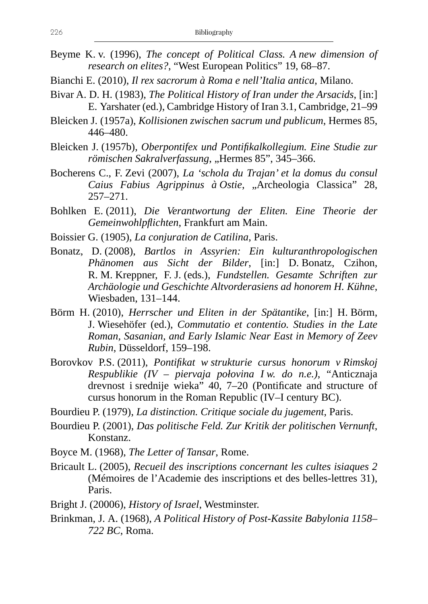- Beyme K. v. (1996), *The concept of Political Class. A new dimension of research on elites?*, "West European Politics" 19, 68–87.
- Bianchi E. (2010), *Il rex sacrorum à Roma e nell'Italia antica*, Milano.
- Bivar A. D. H. (1983), *The Political History of Iran under the Arsacids*, [in:] E. Yarshater (ed.), Cambridge History of Iran 3.1, Cambridge, 21–99
- Bleicken J. (1957a), *Kollisionen zwischen sacrum und publicum*, Hermes 85, 446–480.
- Bleicken J. (1957b), *Oberpontifex und Pontifikalkollegium. Eine Studie zur römischen Sakralverfassung*, "Hermes 85", 345–366.
- Bocherens C., F. Zevi (2007), *La 'schola du Trajan' et la domus du consul Caius Fabius Agrippinus à Ostie*, "Archeologia Classica" 28, 257–271.
- Bohlken E. (2011), *Die Verantwortung der Eliten. Eine Theorie der Gemeinwohlpflichten*, Frankfurt am Main.
- Boissier G. (1905), *La conjuration de Catilina*, Paris.
- Bonatz, D. (2008), *Bartlos in Assyrien: Ein kulturanthropologischen Phänomen aus Sicht der Bilder*, [in:] D. Bonatz, Czihon, R. M. Kreppner, F. J. (eds.), *Fundstellen. Gesamte Schriften zur Archäologie und Geschichte Altvorderasiens ad honorem H. Kühne*, Wiesbaden, 131–144.
- Börm H. (2010), *Herrscher und Eliten in der Spätantike*, [in:] H. Börm, J. Wiesehöfer (ed.), *Commutatio et contentio. Studies in the Late Roman, Sasanian, and Early Islamic Near East in Memory of Zeev Rubin*, Düsseldorf, 159–198.
- Borovkov P.S. (2011), *Pontifikat w strukturie cursus honorum v Rimskoj Respublikie (IV – piervaja połovina I w. do n.e.)*, "Anticznaja drevnost i srednije wieka" 40, 7–20 (Pontificate and structure of cursus honorum in the Roman Republic (IV–I century BC).
- Bourdieu P. (1979), *La distinction. Critique sociale du jugement*, Paris.
- Bourdieu P. (2001), *Das politische Feld. Zur Kritik der politischen Vernunft*, Konstanz.
- Boyce M. (1968), *The Letter of Tansar*, Rome.
- Bricault L. (2005), *Recueil des inscriptions concernant les cultes isiaques 2* (Mémoires de l'Academie des inscriptions et des belles-lettres 31), Paris.
- Bright J. (20006), *History of Israel*, Westminster.
- Brinkman, J. A. (1968), *A Political History of Post-Kassite Babylonia 1158– 722 BC*, Roma.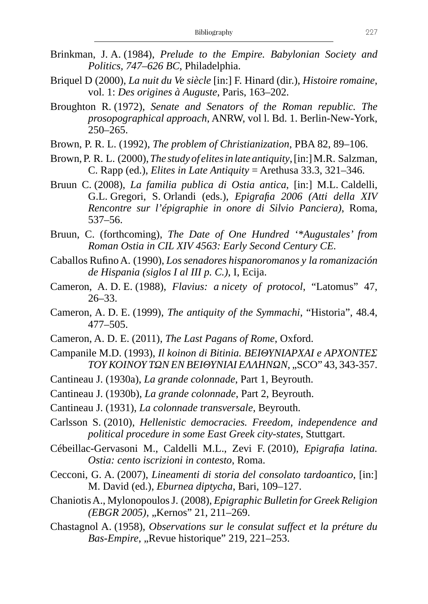- Brinkman, J. A. (1984), *Prelude to the Empire. Babylonian Society and Politics, 747–626 BC*, Philadelphia.
- Briquel D (2000), *La nuit du Ve siècle* [in:] F. Hinard (dir.), *Histoire romaine*, vol. 1: *Des origines à Auguste*, Paris, 163–202.
- Broughton R. (1972), *Senate and Senators of the Roman republic. The prosopographical approach*, ANRW, vol l. Bd. 1. Berlin-New-York, 250–265.
- Brown, P. R. L. (1992), *The problem of Christianization*, PBA 82, 89–106.
- Brown, P. R. L. (2000), *The study of elites in late antiquity*, [in:] M.R. Salzman, C. Rapp (ed.), *Elites in Late Antiquity* = Arethusa 33.3, 321–346.
- Bruun C. (2008), *La familia publica di Ostia antica*, [in:] M.L. Caldelli, G.L. Gregori, S. Orlandi (eds.), *Epigrafia 2006 (Atti della XIV Rencontre sur l'épigraphie in onore di Silvio Panciera)*, Roma, 537–56.
- Bruun, C. (forthcoming), *The Date of One Hundred '\*Augustales' from Roman Ostia in CIL XIV 4563: Early Second Century CE.*
- Caballos Rufino A. (1990), *Los senadores hispanoromanos y la romanización de Hispania (siglos I al III p. C.)*, I, Ecija.
- Cameron, A. D. E. (1988), *Flavius: a nicety of protocol*, "Latomus" 47, 26–33.
- Cameron, A. D. E. (1999), *The antiquity of the Symmachi*, "Historia", 48.4, 477–505.
- Cameron, A. D. E. (2011), *The Last Pagans of Rome*, Oxford.
- Campanile M.D. (1993), *Il koinon di Bitinia. ΒΕΙΘΥΝΙΑΡΧΑΙ e ΑΡΧΟΝΤΕΣ ΤΟΥ ΚΟΙΝΟΥ ΤΩΝ ΕΝ ΒΕΙΘΥΝΙΑΙ ΕΛΛΗΝΩΝ*, "SCO" 43, 343-357.
- Cantineau J. (1930a), *La grande colonnade*, Part 1, Beyrouth.
- Cantineau J. (1930b), *La grande colonnade*, Part 2, Beyrouth.
- Cantineau J. (1931), *La colonnade transversale*, Beyrouth.
- Carlsson S. (2010), *Hellenistic democracies. Freedom, independence and political procedure in some East Greek city-states*, Stuttgart.
- Cébeillac-Gervasoni M., Caldelli M.L., Zevi F. (2010), *Epigrafia latina. Ostia: cento iscrizioni in contesto*, Roma.
- Cecconi, G. A. (2007), *Lineamenti di storia del consolato tardoantico*, [in:] M. David (ed.), *Eburnea diptycha*, Bari, 109–127.
- Chaniotis A., Mylonopoulos J. (2008), *Epigraphic Bulletin for Greek Religion (EBGR 2005)*, "Kernos" 21, 211–269.
- Chastagnol A. (1958), *Observations sur le consulat suffect et la préture du*  Bas-Empire, "Revue historique" 219, 221-253.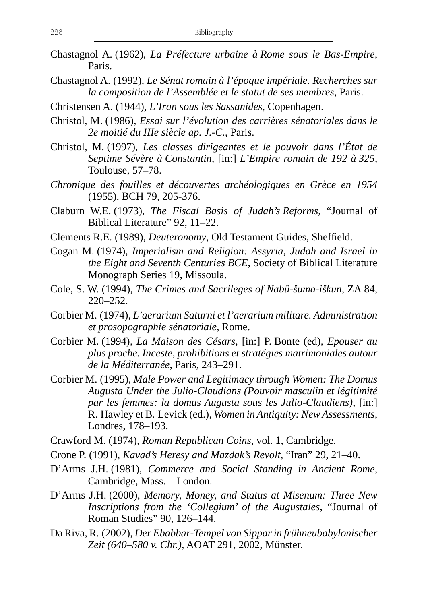- Chastagnol A. (1962), *La Préfecture urbaine à Rome sous le Bas-Empire*, Paris.
- Chastagnol A. (1992), *Le Sénat romain à l'époque impériale. Recherches sur la composition de l'Assemblée et le statut de ses membres*, Paris.
- Christensen A. (1944), *L'Iran sous les Sassanides*, Copenhagen.
- Christol, M. (1986), *Essai sur l'évolution des carrières sénatoriales dans le 2e moitié du IIIe siècle ap. J.-C.*, Paris.
- Christol, M. (1997), *Les classes dirigeantes et le pouvoir dans l'État de Septime Sévère à Constantin*, [in:] *L'Empire romain de 192 à 325*, Toulouse, 57–78.
- *Chronique des fouilles et découvertes archéologiques en Grèce en 1954* (1955), BCH 79, 205-376.
- Claburn W.E. (1973), *The Fiscal Basis of Judah's Reforms*, "Journal of Biblical Literature" 92, 11–22.
- Clements R.E. (1989), *Deuteronomy*, Old Testament Guides, Sheffield.
- Cogan M. (1974), *Imperialism and Religion: Assyria, Judah and Israel in the Eight and Seventh Centuries BCE*, Society of Biblical Literature Monograph Series 19, Missoula.
- Cole, S. W. (1994), *The Crimes and Sacrileges of Nabû-šuma-iškun*, ZA 84, 220–252.
- Corbier M. (1974), *L'aerarium Saturni et l'aerarium militare. Administration et prosopographie sénatoriale*, Rome.
- Corbier M. (1994), *La Maison des Césars*, [in:] P. Bonte (ed), *Epouser au plus proche. Inceste, prohibitions et stratégies matrimoniales autour de la Méditerranée*, Paris, 243–291.
- Corbier M. (1995), *Male Power and Legitimacy through Women: The Domus Augusta Under the Julio-Claudians (Pouvoir masculin et légitimité par les femmes: la domus Augusta sous les Julio-Claudiens)*, [in:] R. Hawley et B. Levick (ed.), *Women in Antiquity: New Assessments*, Londres, 178–193.
- Crawford M. (1974), *Roman Republican Coins*, vol. 1, Cambridge.
- Crone P. (1991), *Kavad's Heresy and Mazdak's Revolt*, "Iran" 29, 21–40.
- D'Arms J.H. (1981), *Commerce and Social Standing in Ancient Rome*, Cambridge, Mass. – London.
- D'Arms J.H. (2000), *Memory, Money, and Status at Misenum: Three New Inscriptions from the 'Collegium' of the Augustales*, "Journal of Roman Studies" 90, 126–144.
- Da Riva, R. (2002), *Der Ebabbar-Tempel von Sippar in frühneubabylonischer Zeit (640–580 v. Chr.)*, AOAT 291, 2002, Münster.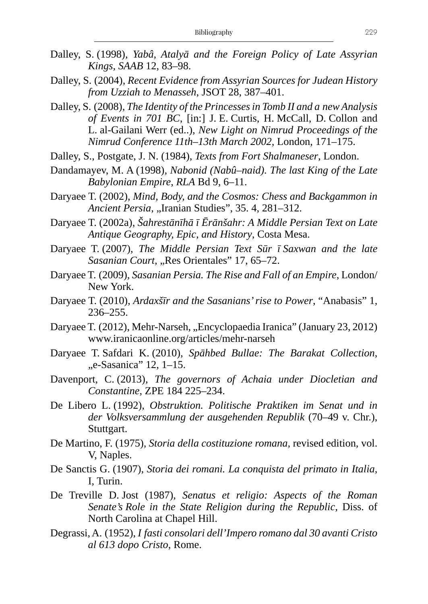- Dalley, S. (1998), *Yabâ, Atalyā and the Foreign Policy of Late Assyrian Kings*, *SAAB* 12, 83–98.
- Dalley, S. (2004), *Recent Evidence from Assyrian Sources for Judean History from Uzziah to Menasseh*, JSOT 28, 387–401.
- Dalley, S. (2008), *The Identity of the Princesses in Tomb II and a new Analysis of Events in 701 BC*, [in:] J. E. Curtis, H. McCall, D. Collon and L. al-Gailani Werr (ed..), *New Light on Nimrud Proceedings of the Nimrud Conference 11th–13th March 2002*, London, 171–175.
- Dalley, S., Postgate, J. N. (1984), *Texts from Fort Shalmaneser*, London.
- Dandamayev, M. A (1998), *Nabonid (Nabû–naid). The last King of the Late Babylonian Empire*, *RLA* Bd 9, 6–11.
- Daryaee T. (2002), *Mind, Body, and the Cosmos: Chess and Backgammon in Ancient Persia, "Iranian Studies", 35. 4, 281-312.*
- Daryaee T. (2002a), *Šahrestānīhā ī Ērānšahr: A Middle Persian Text on Late Antique Geography, Epic, and History*, Costa Mesa.
- Daryaee T. (2007), *The Middle Persian Text Sūr ī Saxwan and the late Sasanian Court, "Res Orientales" 17, 65-72.*
- Daryaee T. (2009), *Sasanian Persia. The Rise and Fall of an Empire*, London/ New York.
- Daryaee T. (2010), *Ardaxšīr and the Sasanians' rise to Power*, "Anabasis" 1, 236–255.
- Daryaee T. (2012), Mehr-Narseh, "Encyclopaedia Iranica" (January 23, 2012) www.iranicaonline.org/articles/mehr-narseh
- Daryaee T. Safdari K. (2010), *Spāhbed Bullae: The Barakat Collection*, "e-Sasanica" 12, 1–15.
- Davenport, C. (2013), *The governors of Achaia under Diocletian and Constantine*, ZPE 184 225–234.
- De Libero L. (1992), *Obstruktion. Politische Praktiken im Senat und in der Volksversammlung der ausgehenden Republik* (70–49 v. Chr.), Stuttgart.
- De Martino, F. (1975), *Storia della costituzione romana*, revised edition, vol. V, Naples.
- De Sanctis G. (1907), *Storia dei romani. La conquista del primato in Italia*, I, Turin.
- De Treville D. Jost (1987), *Senatus et religio: Aspects of the Roman Senate's Role in the State Religion during the Republic*, Diss. of North Carolina at Chapel Hill.
- Degrassi, A. (1952), *I fasti consolari dell'Impero romano dal 30 avanti Cristo al 613 dopo Cristo*, Rome.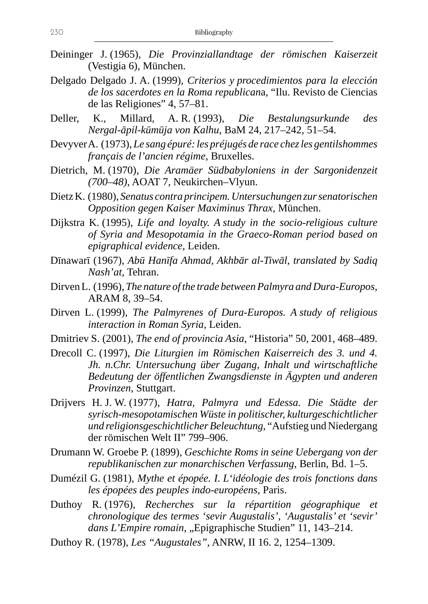- Deininger J. (1965), *Die Provinziallandtage der römischen Kaiserzeit* (Vestigia 6), München.
- Delgado Delgado J. A. (1999), *Criterios y procedimientos para la elección de los sacerdotes en la Roma republican*a, "Ilu. Revisto de Ciencias de las Religiones" 4, 57–81.
- Deller, K., Millard, A. R. (1993), *Die Bestalungsurkunde des Nergal-āpil-kūmūja von Kalhu*, BaM 24, 217–242, 51–54.
- Devyver A. (1973), *Le sang épuré: les préjugés de race chez les gentilshommes français de l'ancien régime*, Bruxelles.
- Dietrich, M. (1970), *Die Aramäer Südbabyloniens in der Sargonidenzeit (700–48)*, AOAT 7, Neukirchen–Vlyun.
- Dietz K. (1980), *Senatus contra principem. Untersuchungen zur senatorischen Opposition gegen Kaiser Maximinus Thrax*, München.
- Dijkstra K. (1995), *Life and loyalty. A study in the socio-religious culture of Syria and Mesopotamia in the Graeco-Roman period based on epigraphical evidence*, Leiden.
- Dīnawarī (1967), *Abū Hanīfa Ahmad, Akhbār al-Tiwāl, translated by Sadiq Nash'at*, Tehran.
- Dirven L. (1996), *The nature of the trade between Palmyra and Dura-Europos*, ARAM 8, 39–54.
- Dirven L. (1999), *The Palmyrenes of Dura-Europos. A study of religious interaction in Roman Syria*, Leiden.
- Dmitriev S. (2001), *The end of provincia Asia*, "Historia" 50, 2001, 468–489.
- Drecoll C. (1997), *Die Liturgien im Römischen Kaiserreich des 3. und 4. Jh. n.Chr. Untersuchung über Zugang, Inhalt und wirtschaftliche Bedeutung der öffentlichen Zwangsdienste in Ägypten und anderen Provinzen*, Stuttgart.
- Drijvers H. J. W. (1977), *Hatra, Palmyra und Edessa. Die Städte der syrisch-mesopotamischen Wüste in politischer, kulturgeschichtlicher und religionsgeschichtlicher Beleuchtung*, "Aufstieg und Niedergang der römischen Welt II" 799–906.
- Drumann W. Groebe P. (1899), *Geschichte Roms in seine Uebergang von der republikanischen zur monarchischen Verfassung*, Berlin, Bd. 1–5.
- Dumézil G. (1981), *Mythe et épopée. I. L'idéologie des trois fonctions dans les épopées des peuples indo-européens*, Paris.
- Duthoy R. (1976), *Recherches sur la répartition géographique et chronologique des termes 'sevir Augustalis', 'Augustalis' et 'sevir'*  dans L'Empire romain, "Epigraphische Studien" 11, 143-214.
- Duthoy R. (1978), *Les "Augustales"*, ANRW, II 16. 2, 1254–1309.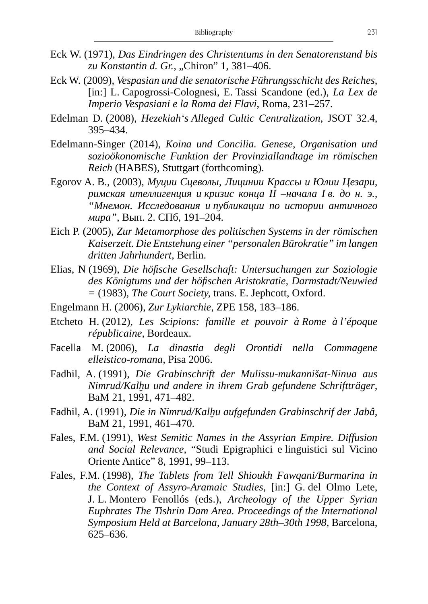- Eck W. (1971), *Das Eindringen des Christentums in den Senatorenstand bis*  zu Konstantin d. Gr., "Chiron" 1, 381–406.
- Eck W. (2009), *Vespasian und die senatorische Führungsschicht des Reiches*, [in:] L. Capogrossi-Colognesi, E. Tassi Scandone (ed.), *La Lex de Imperio Vespasiani e la Roma dei Flavi*, Roma, 231–257.
- Edelman D. (2008), *Hezekiah's Alleged Cultic Centralization*, JSOT 32.4, 395–434.
- Edelmann-Singer (2014), *Koina und Concilia. Genese, Organisation und sozioökonomische Funktion der Provinziallandtage im römischen Reich* (HABES), Stuttgart (forthcoming).
- Egorov A. B., (2003), *Муции Сцеволы, Лицинии Крассы и Юлии Цезари, римская ителлигенция и кризис конца II –начала I в. до н. э., "Мнемон. Исследования и публикации по истории античного мира"*, Вып. 2. СПб, 191–204.
- Eich P. (2005), *Zur Metamorphose des politischen Systems in der römischen Kaiserzeit. Die Entstehung einer "personalen Bürokratie" im langen dritten Jahrhundert*, Berlin.
- Elias, N (1969), *Die höfische Gesellschaft: Untersuchungen zur Soziologie des Königtums und der höfischen Aristokratie, Darmstadt/Neuwied =* (1983)*, The Court Society,* trans. E. Jephcott, Oxford.
- Engelmann H. (2006), *Zur Lykiarchie*, ZPE 158, 183–186.
- Etcheto H. (2012), *Les Scipions: famille et pouvoir à Rome à l'époque républicaine*, Bordeaux.
- Facella M. (2006), *La dinastia degli Orontidi nella Commagene elleistico-romana*, Pisa 2006.
- Fadhil, A. (1991), *Die Grabinschrift der Mulissu-mukannišat-Ninua aus Nimrud/Kalḫu und andere in ihrem Grab gefundene Schriftträger*, BaM 21, 1991, 471–482.
- Fadhil, A. (1991), *Die in Nimrud/Kalḫu aufgefunden Grabinschrif der Jabâ*, BaM 21, 1991, 461–470.
- Fales, F.M. (1991), *West Semitic Names in the Assyrian Empire. Diffusion and Social Relevance*, "Studi Epigraphici e linguistici sul Vicino Oriente Antice" 8, 1991, 99–113.
- Fales, F.M. (1998), *The Tablets from Tell Shioukh Fawqani/Burmarina in the Context of Assyro-Aramaic Studies*, [in:] G. del Olmo Lete, J. L. Montero Fenollós (eds.), *Archeology of the Upper Syrian Euphrates The Tishrin Dam Area. Proceedings of the International Symposium Held at Barcelona, January 28th–30th 1998*, Barcelona, 625–636.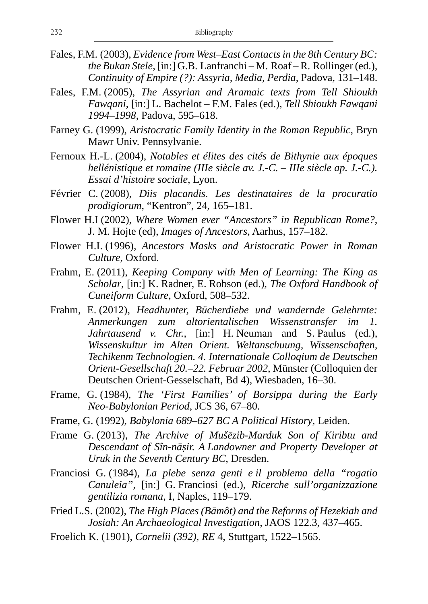- Fales, F.M. (2003), *Evidence from West–East Contacts in the 8th Century BC: the Bukan Stele*, [in:] G.B. Lanfranchi – M. Roaf – R. Rollinger (ed.), *Continuity of Empire (?): Assyria, Media, Perdia*, Padova, 131–148.
- Fales, F.M. (2005), *The Assyrian and Aramaic texts from Tell Shioukh Fawqani*, [in:] L. Bachelot – F.M. Fales (ed.), *Tell Shioukh Fawqani 1994–1998*, Padova, 595–618.
- Farney G. (1999), *Aristocratic Family Identity in the Roman Republic*, Bryn Mawr Univ. Pennsylvanie.
- Fernoux H.-L. (2004), *Notables et élites des cités de Bithynie aux époques hellénistique et romaine (IIIe siècle av. J.-C.* – *IIIe siècle ap. J.-C.). Essai d'histoire sociale*, Lyon.
- Février C. (2008), *Diis placandis. Les destinataires de la procuratio prodigiorum*, "Kentron", 24, 165–181.
- Flower H.I (2002), *Where Women ever "Ancestors" in Republican Rome?*, J. M. Hojte (ed), *Images of Ancestors*, Aarhus, 157–182.
- Flower H.I. (1996), *Ancestors Masks and Aristocratic Power in Roman Culture*, Oxford.
- Frahm, E. (2011), *Keeping Company with Men of Learning: The King as Scholar*, [in:] K. Radner, E. Robson (ed.), *The Oxford Handbook of Cuneiform Culture*, Oxford, 508–532.
- Frahm, E. (2012), *Headhunter, Bücherdiebe und wandernde Gelehrnte: Anmerkungen zum altorientalischen Wissenstransfer im 1. Jahrtausend v. Chr.*, [in:] H. Neuman and S. Paulus (ed.), *Wissenskultur im Alten Orient. Weltanschuung, Wissenschaften, Techikenm Technologien. 4. Internationale Colloqium de Deutschen Orient-Gesellschaft 20.–22. Februar 2002*, Münster (Colloquien der Deutschen Orient-Gesselschaft, Bd 4), Wiesbaden, 16–30.
- Frame, G. (1984), *The 'First Families' of Borsippa during the Early Neo-Babylonian Period*, JCS 36, 67–80.
- Frame, G. (1992), *Babylonia 689–627 BC A Political History*, Leiden.
- Frame G. (2013), *The Archive of Mušēzib-Marduk Son of Kiribtu and Descendant of Sîn-nāṣir. A Landowner and Property Developer at Uruk in the Seventh Century BC*, Dresden.
- Franciosi G. (1984), *La plebe senza genti e il problema della "rogatio Canuleia"*, [in:] G. Franciosi (ed.), *Ricerche sull'organizzazione gentilizia romana*, I, Naples, 119–179.
- Fried L.S. (2002), *The High Places (Bāmôt) and the Reforms of Hezekiah and Josiah: An Archaeological Investigation*, JAOS 122.3, 437–465.
- Froelich K. (1901), *Cornelii (392)*, *RE* 4, Stuttgart, 1522–1565.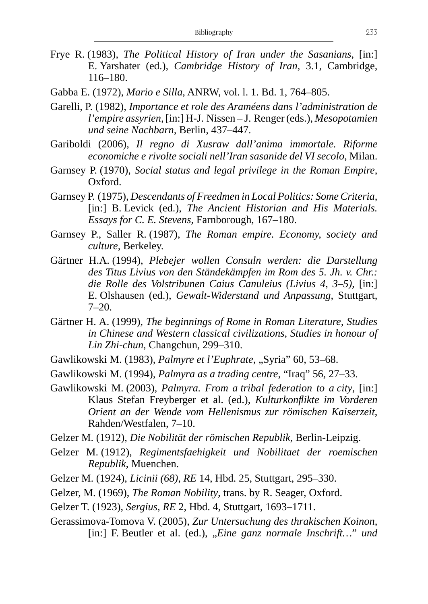- Frye R. (1983), *The Political History of Iran under the Sasanians*, [in:] E. Yarshater (ed.), *Cambridge History of Iran*, 3.1, Cambridge, 116–180.
- Gabba E. (1972), *Mario e Silla*, ANRW, vol. l. 1. Bd. 1, 764–805.
- Garelli, P. (1982), *Importance et role des Araméens dans l'administration de l'empire assyrien*, [in:] H-J. Nissen – J. Renger (eds.), *Mesopotamien und seine Nachbarn*, Berlin, 437–447.
- Gariboldi (2006), *Il regno di Xusraw dall'anima immortale. Riforme economiche e rivolte sociali nell'Iran sasanide del VI secolo*, Milan.
- Garnsey P. (1970), *Social status and legal privilege in the Roman Empire*, Oxford.
- Garnsey P. (1975), *Descendants of Freedmen in Local Politics: Some Criteria*, [in:] B. Levick (ed.), *The Ancient Historian and His Materials. Essays for C. E. Stevens*, Farnborough, 167–180.
- Garnsey P., Saller R. (1987), *The Roman empire. Economy, society and culture*, Berkeley.
- Gärtner H.A. (1994), *Plebejer wollen Consuln werden: die Darstellung des Titus Livius von den Ständekämpfen im Rom des 5. Jh. v. Chr.: die Rolle des Volstribunen Caius Canuleius (Livius 4, 3–5)*, [in:] E. Olshausen (ed.), *Gewalt-Widerstand und Anpassung*, Stuttgart, 7–20.
- Gärtner H. A. (1999), *The beginnings of Rome in Roman Literature, Studies in Chinese and Western classical civilizations, Studies in honour of Lin Zhi-chun*, Changchun, 299–310.
- Gawlikowski M. (1983), *Palmyre et l'Euphrate*, "Syria" 60, 53–68.
- Gawlikowski M. (1994), *Palmyra as a trading centre*, "Iraq" 56, 27–33.
- Gawlikowski M. (2003), *Palmyra. From a tribal federation to a city*, [in:] Klaus Stefan Freyberger et al. (ed.), *Kulturkonflikte im Vorderen Orient an der Wende vom Hellenismus zur römischen Kaiserzeit*, Rahden/Westfalen, 7–10.
- Gelzer M. (1912), *Die Nobilität der römischen Republik*, Berlin-Leipzig.
- Gelzer M. (1912), *Regimentsfaehigkeit und Nobilitaet der roemischen Republik*, Muenchen.
- Gelzer M. (1924), *Licinii (68)*, *RE* 14, Hbd. 25, Stuttgart, 295–330.
- Gelzer, M. (1969), *The Roman Nobility*, trans. by R. Seager, Oxford.
- Gelzer T. (1923), *Sergius*, *RE* 2, Hbd. 4, Stuttgart, 1693–1711.
- Gerassimova-Tomova V. (2005), *Zur Untersuchung des thrakischen Koinon*, [in:] F. Beutler et al. (ed.), "*Eine ganz normale Inschrift...*" *und*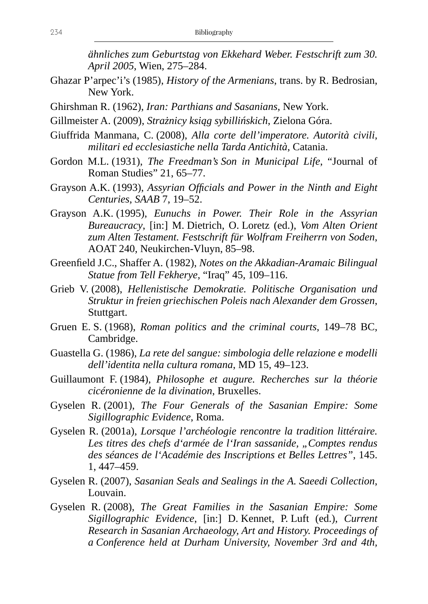*ähnliches zum Geburtstag von Ekkehard Weber. Festschrift zum 30. April 2005*, Wien, 275–284.

- Ghazar P'arpec'i's (1985), *History of the Armenians*, trans. by R. Bedrosian, New York.
- Ghirshman R. (1962), *Iran: Parthians and Sasanians*, New York.
- Gillmeister A. (2009), *Strażnicy ksiąg sybillińskich*, Zielona Góra.
- Giuffrida Manmana, C. (2008), *Alla corte dell'imperatore. Autorità civili, militari ed ecclesiastiche nella Tarda Antichità*, Catania.
- Gordon M.L. (1931), *The Freedman's Son in Municipal Life*, "Journal of Roman Studies" 21, 65–77.
- Grayson A.K. (1993), *Assyrian Officials and Power in the Ninth and Eight Centuries*, *SAAB* 7, 19–52.
- Grayson A.K. (1995), *Eunuchs in Power. Their Role in the Assyrian Bureaucracy*, [in:] M. Dietrich, O. Loretz (ed.), *Vom Alten Orient zum Alten Testament. Festschrift für Wolfram Freiherrn von Soden*, AOAT 240, Neukirchen-Vluyn, 85–98.
- Greenfield J.C., Shaffer A. (1982), *Notes on the Akkadian-Aramaic Bilingual Statue from Tell Fekherye*, "Iraq" 45, 109–116.
- Grieb V. (2008), *Hellenistische Demokratie. Politische Organisation und Struktur in freien griechischen Poleis nach Alexander dem Grossen*, Stuttgart.
- Gruen E. S. (1968), *Roman politics and the criminal courts*, 149–78 BC, Cambridge.
- Guastella G. (1986), *La rete del sangue: simbologia delle relazione e modelli dell'identita nella cultura romana*, MD 15, 49–123.
- Guillaumont F. (1984), *Philosophe et augure. Recherches sur la théorie cicéronienne de la divination*, Bruxelles.
- Gyselen R. (2001), *The Four Generals of the Sasanian Empire: Some Sigillographic Evidence*, Roma.
- Gyselen R. (2001a), *Lorsque l'archéologie rencontre la tradition littéraire.*  Les titres des chefs d'armée de l'Iran sassanide, "Comptes rendus *des séances de l'Académie des Inscriptions et Belles Lettres"*, 145. 1, 447–459.
- Gyselen R. (2007), *Sasanian Seals and Sealings in the A. Saeedi Collection*, Louvain.
- Gyselen R. (2008), *The Great Families in the Sasanian Empire: Some Sigillographic Evidence*, [in:] D. Kennet, P. Luft (ed.), *Current Research in Sasanian Archaeology, Art and History. Proceedings of a Conference held at Durham University, November 3rd and 4th,*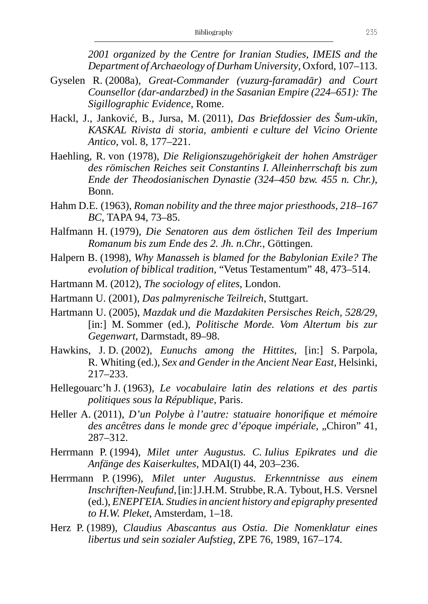*2001 organized by the Centre for Iranian Studies, IMEIS and the Department of Archaeology of Durham University*, Oxford, 107–113.

- Gyselen R. (2008a), *Great-Commander (vuzurg-faramadār) and Court Counsellor (dar-andarzbed) in the Sasanian Empire (224–651): The Sigillographic Evidence*, Rome.
- Hackl, J., Janković, B., Jursa, M. (2011), *Das Briefdossier des Šum-ukīn, KASKAL Rivista di storia, ambienti e culture del Vicino Oriente Antico*, vol. 8, 177–221.
- Haehling, R. von (1978), *Die Religionszugehörigkeit der hohen Amsträger des römischen Reiches seit Constantins I. Alleinherrschaft bis zum Ende der Theodosianischen Dynastie (324–450 bzw. 455 n. Chr.)*, Bonn.
- Hahm D.E. (1963), *Roman nobility and the three major priesthoods, 218–167 BC*, TAPA 94, 73–85.
- Halfmann H. (1979), *Die Senatoren aus dem östlichen Teil des Imperium Romanum bis zum Ende des 2. Jh. n.Chr.*, Göttingen.
- Halpern B. (1998), *Why Manasseh is blamed for the Babylonian Exile? The evolution of biblical tradition*, "Vetus Testamentum" 48, 473–514.
- Hartmann M. (2012), *The sociology of elites*, London.
- Hartmann U. (2001), *Das palmyrenische Teilreich*, Stuttgart.
- Hartmann U. (2005), *Mazdak und die Mazdakiten Persisches Reich, 528/29*, [in:] M. Sommer (ed.), *Politische Morde*. Vom Altertum bis zur *Gegenwart*, Darmstadt, 89–98.
- Hawkins, J. D. (2002), *Eunuchs among the Hittites*, [in:] S. Parpola, R. Whiting (ed.), *Sex and Gender in the Ancient Near East*, Helsinki, 217–233.
- Hellegouarc'h J. (1963), *Le vocabulaire latin des relations et des partis politiques sous la République*, Paris.
- Heller A. (2011), *D'un Polybe à l'autre: statuaire honorifique et mémoire*  des ancêtres dans le monde grec d'époque impériale, "Chiron" 41, 287–312.
- Herrmann P. (1994), *Milet unter Augustus. C. Iulius Epikrates und die Anfänge des Kaiserkultes*, MDAI(I) 44, 203–236.
- Herrmann P. (1996), *Milet unter Augustus. Erkenntnisse aus einem Inschriften-Neufund*, [in:] J.H.M. Strubbe, R.A. Tybout, H.S. Versnel (ed.), *ΕΝΕΡΓΕΙΑ. Studies in ancient history and epigraphy presented to H.W. Pleket*, Amsterdam, 1–18.
- Herz P. (1989), *Claudius Abascantus aus Ostia. Die Nomenklatur eines libertus und sein sozialer Aufstieg*, ZPE 76, 1989, 167–174.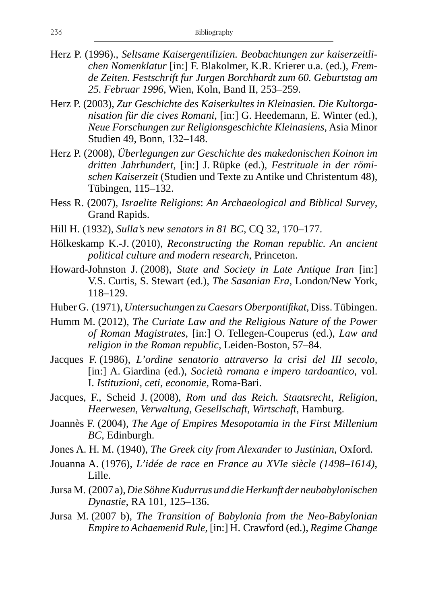- Herz P. (1996)., *Seltsame Kaisergentilizien. Beobachtungen zur kaiserzeitlichen Nomenklatur* [in:] F. Blakolmer, K.R. Krierer u.a. (ed.), *Fremde Zeiten. Festschrift fur Jurgen Borchhardt zum 60. Geburtstag am 25. Februar 1996*, Wien, Koln, Band II, 253–259.
- Herz P. (2003), *Zur Geschichte des Kaiserkultes in Kleinasien. Die Kultorganisation für die cives Romani*, [in:] G. Heedemann, E. Winter (ed.), *Neue Forschungen zur Religionsgeschichte Kleinasiens*, Asia Minor Studien 49, Bonn, 132–148.
- Herz P. (2008), *Überlegungen zur Geschichte des makedonischen Koinon im dritten Jahrhundert*, [in:] J. Rüpke (ed.), *Festrituale in der römischen Kaiserzeit* (Studien und Texte zu Antike und Christentum 48), Tübingen, 115–132.
- Hess R. (2007), *Israelite Religions*: *An Archaeological and Biblical Survey*, Grand Rapids.
- Hill H. (1932), *Sulla's new senators in 81 BC*, CQ 32, 170–177.
- Hölkeskamp K.-J. (2010), *Reconstructing the Roman republic. An ancient political culture and modern research*, Princeton.
- Howard-Johnston J. (2008), *State and Society in Late Antique Iran* [in:] V.S. Curtis, S. Stewart (ed.), *The Sasanian Era*, London/New York, 118–129.
- Huber G. (1971), *Untersuchungen zu Caesars Oberpontifikat,* Diss. Tübingen.
- Humm M. (2012), *The Curiate Law and the Religious Nature of the Power of Roman Magistrates*, [in:] O. Tellegen-Couperus (ed.), *Law and religion in the Roman republic*, Leiden-Boston, 57–84.
- Jacques F. (1986)*, L'ordine senatorio attraverso la crisi del III secolo*, [in:] A. Giardina (ed.), *Società romana e impero tardoantico*, vol. I. *Istituzioni, ceti, economie*, Roma-Bari.
- Jacques, F., Scheid J. (2008), *Rom und das Reich. Staatsrecht, Religion, Heerwesen, Verwaltung, Gesellschaft, Wirtschaft*, Hamburg.
- Joannès F. (2004), *The Age of Empires Mesopotamia in the First Millenium BC*, Edinburgh.
- Jones A. H. M. (1940), *The Greek city from Alexander to Justinian*, Oxford.
- Jouanna A. (1976), *L'idée de race en France au XVIe siècle (1498–1614)*, Lille.
- Jursa M. (2007 a), *Die Söhne Kudurrus und die Herkunft der neubabylonischen Dynastie*, RA 101, 125–136.
- Jursa M. (2007 b), *The Transition of Babylonia from the Neo-Babylonian Empire to Achaemenid Rule*, [in:] H. Crawford (ed.), *Regime Change*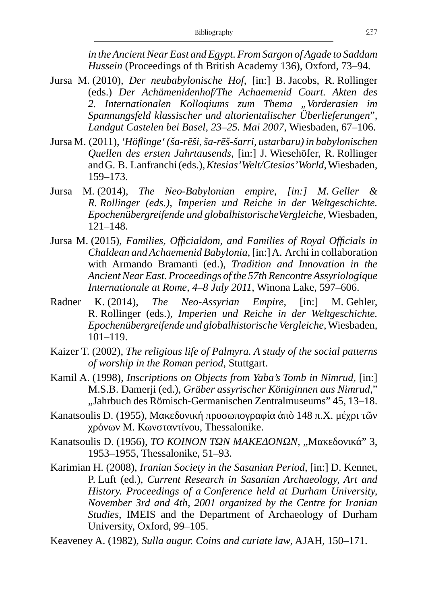*in the Ancient Near East and Egypt. From Sargon of Agade to Saddam Hussein* (Proceedings of th British Academy 136), Oxford, 73–94.

- Jursa M. (2010), *Der neubabylonische Hof*, [in:] B. Jacobs, R. Rollinger (eds.) *Der Achämenidenhof/The Achaemenid Court. Akten des*  2. Internationalen Kollogiums zum Thema "Vorderasien im *Spannungsfeld klassischer und altorientalischer Überlieferungen*"*, Landgut Castelen bei Basel, 23–25. Mai 2007*, Wiesbaden, 67–106.
- Jursa M. (2011), *'Höflinge' (ša-rēši, ša-rēš-šarri, ustarbaru) in babylonischen Quellen des ersten Jahrtausends*, [in:] J. Wiesehöfer, R. Rollinger and G. B. Lanfranchi (eds.), *Ktesias' Welt/Ctesias' World*, Wiesbaden, 159–173.
- Jursa M. (2014), *The Neo-Babylonian empire, [in:] M. Geller & R. Rollinger (eds.), Imperien und Reiche in der Weltgeschichte. Epochenübergreifende und globalhistorischeVergleiche*, Wiesbaden, 121–148.
- Jursa M. (2015), *Families, Officialdom, and Families of Royal Officials in Chaldean and Achaemenid Babylonia*, [in:] A. Archi in collaboration with Armando Bramanti (ed.), *Tradition and Innovation in the Ancient Near East. Proceedings of the 57th Rencontre Assyriologique Internationale at Rome, 4–8 July 2011*, Winona Lake, 597–606.
- Radner K. (2014), *The Neo-Assyrian Empire*, [in:] M. Gehler, R. Rollinger (eds.), *Imperien und Reiche in der Weltgeschichte. Epochenübergreifende und globalhistorische Vergleiche*, Wiesbaden, 101–119.
- Kaizer T. (2002), *The religious life of Palmyra. A study of the social patterns of worship in the Roman period*, Stuttgart.
- Kamil A. (1998), *Inscriptions on Objects from Yaba's Tomb in Nimrud,* [in:] M.S.B. Damerji (ed.)*, Gräber assyrischer Königinnen aus Nimrud*," "Jahrbuch des Römisch-Germanischen Zentralmuseums" 45, 13–18.
- Kanatsoulis D. (1955), Μακεδονική προσωπογραφία ἀπὸ 148 π.Χ. μέχρι τῶν χρόνων Μ. Κωνσταντίνου, Thessalonike.
- Kanatsoulis D. (1956), *ΤΟ ΚΟΙΝΟΝ ΤΩΝ ΜΑΚΕΔΟΝΩΝ*, "Μακεδονικά" 3, 1953–1955, Thessalonike, 51–93.
- Karimian H. (2008), *Iranian Society in the Sasanian Period*, [in:] D. Kennet, P. Luft (ed.), *Current Research in Sasanian Archaeology, Art and History. Proceedings of a Conference held at Durham University, November 3rd and 4th, 2001 organized by the Centre for Iranian Studies*, IMEIS and the Department of Archaeology of Durham University, Oxford, 99–105.

Keaveney A. (1982), *Sulla augur. Coins and curiate law*, AJAH, 150–171.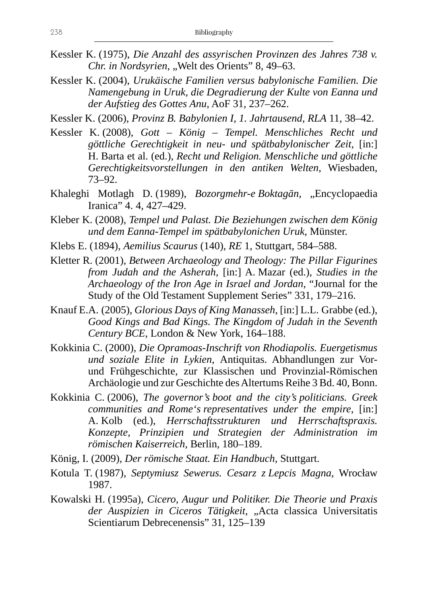- Kessler K. (1975), *Die Anzahl des assyrischen Provinzen des Jahres 738 v. Chr. in Nordsyrien, "Welt des Orients" 8, 49-63.*
- Kessler K. (2004), *Urukäische Familien versus babylonische Familien. Die Namengebung in Uruk, die Degradierung der Kulte von Eanna und der Aufstieg des Gottes Anu*, AoF 31, 237–262.

Kessler K. (2006), *Provinz B. Babylonien I, 1. Jahrtausend*, *RLA* 11, 38–42.

- Kessler K. (2008), *Gott König Tempel. Menschliches Recht und göttliche Gerechtigkeit in neu- und spätbabylonischer Zeit*, [in:] H. Barta et al. (ed.), *Recht und Religion. Menschliche und göttliche Gerechtigkeitsvorstellungen in den antiken Welten*, Wiesbaden, 73–92.
- Khaleghi Motlagh D. (1989), *Bozorgmehr-e Boktagān*, "Encyclopaedia Iranica" 4. 4, 427–429.
- Kleber K. (2008), *Tempel und Palast. Die Beziehungen zwischen dem König und dem Eanna-Tempel im spätbabylonichen Uruk*, Münster.
- Klebs E. (1894), *Aemilius Scaurus* (140), *RE* 1, Stuttgart, 584–588.
- Kletter R. (2001), *Between Archaeology and Theology: The Pillar Figurines from Judah and the Asherah*, [in:] A. Mazar (ed.), *Studies in the Archaeology of the Iron Age in Israel and Jordan*, "Journal for the Study of the Old Testament Supplement Series" 331, 179–216.
- Knauf E.A. (2005), *Glorious Days of King Manasseh*, [in:] L.L. Grabbe (ed.), *Good Kings and Bad Kings. The Kingdom of Judah in the Seventh Century BCE*, London & New York, 164–188.
- Kokkinia C. (2000), *Die Opramoas-Inschrift von Rhodiapolis. Euergetismus und soziale Elite in Lykien,* Antiquitas. Abhandlungen zur Vorund Frühgeschichte, zur Klassischen und Provinzial-Römischen Archäologie und zur Geschichte des Altertums Reihe 3 Bd. 40, Bonn.
- Kokkinia C. (2006), *The governor's boot and the city's politicians. Greek communities and Rome's representatives under the empire*, [in:] A. Kolb (ed.), *Herrschaftsstrukturen und Herrschaftspraxis. Konzepte, Prinzipien und Strategien der Administration im römischen Kaiserreich*, Berlin, 180–189.
- König, I. (2009), *Der römische Staat. Ein Handbuch*, Stuttgart.
- Kotula T. (1987), *Septymiusz Sewerus. Cesarz z Lepcis Magna*, Wrocław 1987.
- Kowalski H. (1995a), *Cicero, Augur und Politiker. Die Theorie und Praxis*  der Auspizien in Ciceros Tätigkeit, "Acta classica Universitatis Scientiarum Debrecenensis" 31, 125–139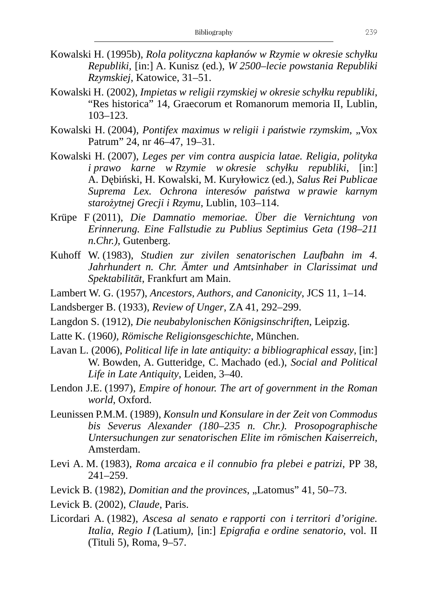- Kowalski H. (1995b), *Rola polityczna kapłanów w Rzymie w okresie schyłku Republiki,* [in:] A. Kunisz (ed.), *W 2500–lecie powstania Republiki Rzymskiej*, Katowice, 31–51.
- Kowalski H. (2002), *Impietas w religii rzymskiej w okresie schyłku republiki*, "Res historica" 14, Graecorum et Romanorum memoria II, Lublin, 103–123.
- Kowalski H. (2004), *Pontifex maximus w religii i państwie rzymskim*, "Vox Patrum" 24, nr 46–47, 19–31.
- Kowalski H. (2007), *Leges per vim contra auspicia latae. Religia, polityka i prawo karne w Rzymie w okresie schyłku republiki*, [in:] A. Dębiński, H. Kowalski, M. Kuryłowicz (ed.), *Salus Rei Publicae Suprema Lex. Ochrona interesów państwa w prawie karnym starożytnej Grecji i Rzymu*, Lublin, 103–114.
- Krüpe F (2011), *Die Damnatio memoriae. Über die Vernichtung von Erinnerung. Eine Fallstudie zu Publius Septimius Geta (198–211 n.Chr.)*, Gutenberg.
- Kuhoff W. (1983), *Studien zur zivilen senatorischen Laufbahn im 4. Jahrhundert n. Chr. Ämter und Amtsinhaber in Clarissimat und Spektabilität*, Frankfurt am Main.
- Lambert W. G. (1957), *Ancestors, Authors, and Canonicity*, JCS 11, 1–14.
- Landsberger B. (1933), *Review of Unger*, ZA 41, 292–299.
- Langdon S. (1912), *Die neubabylonischen Königsinschriften*, Leipzig.
- Latte K. (1960*), Römische Religionsgeschichte*, München.
- Lavan L. (2006), *Political life in late antiquity: a bibliographical essay*, [in:] W. Bowden, A. Gutteridge, C. Machado (ed.), *Social and Political Life in Late Antiquity*, Leiden, 3–40.
- Lendon J.E. (1997), *Empire of honour. The art of government in the Roman world*, Oxford.
- Leunissen P.M.M. (1989), *Konsuln und Konsulare in der Zeit von Commodus bis Severus Alexander (180–235 n. Chr.). Prosopographische Untersuchungen zur senatorischen Elite im römischen Kaiserreich*, Amsterdam.
- Levi A. M. (1983), *Roma arcaica e il connubio fra plebei e patrizi*, PP 38, 241–259.
- Levick B. (1982), *Domitian and the provinces*, "Latomus" 41, 50–73.
- Levick B. (2002), *Claude*, Paris.
- Licordari A. (1982), *Ascesa al senato e rapporti con i territori d'origine. Italia, Regio I (*Latium*)*, [in:] *Epigrafia e ordine senatorio*, vol. II (Tituli 5), Roma, 9–57.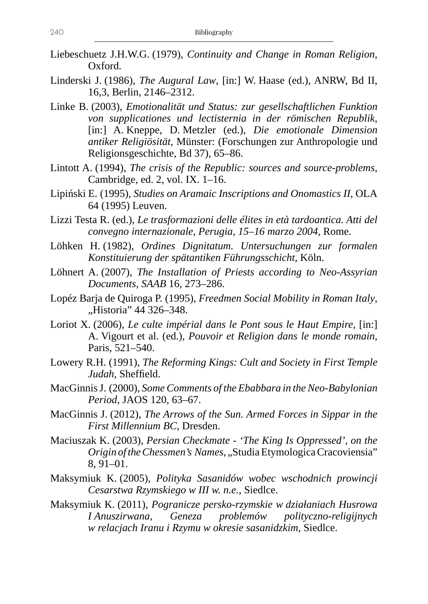- Liebeschuetz J.H.W.G. (1979), *Continuity and Change in Roman Religion*, Oxford.
- Linderski J. (1986), *The Augural Law*, [in:] W. Haase (ed.), ANRW, Bd II, 16,3, Berlin, 2146–2312.
- Linke B. (2003), *Emotionalität und Status: zur gesellschaftlichen Funktion von supplicationes und lectisternia in der römischen Republik*, [in:] A. Kneppe, D. Metzler (ed.), *Die emotionale Dimension antiker Religiösität*, Münster: (Forschungen zur Anthropologie und Religionsgeschichte, Bd 37), 65–86.
- Lintott A. (1994), *The crisis of the Republic: sources and source-problems*, Cambridge, ed. 2, vol. IX. 1–16.
- Lipiński E. (1995), *Studies on Aramaic Inscriptions and Onomastics II*, OLA 64 (1995) Leuven.
- Lizzi Testa R. (ed.), *Le trasformazioni delle élites in età tardoantica. Atti del convegno internazionale*, *Perugia, 15–16 marzo 2004*, Rome.
- Löhken H. (1982), *Ordines Dignitatum. Untersuchungen zur formalen Konstituierung der spätantiken Führungsschicht*, Köln.
- Löhnert A. (2007), *The Installation of Priests according to Neo-Assyrian Documents, SAAB* 16, 273–286.
- Lopéz Barja de Quiroga P. (1995), *Freedmen Social Mobility in Roman Italy*, "Historia" 44 326–348.
- Loriot X. (2006), *Le culte impérial dans le Pont sous le Haut Empire*, [in:] A. Vigourt et al. (ed.), *Pouvoir et Religion dans le monde romain*, Paris, 521–540.
- Lowery R.H. (1991), *The Reforming Kings: Cult and Society in First Temple Judah*, Sheffield.
- MacGinnis J. (2000), *Some Comments of the Ebabbara in the Neo-Babylonian Period*, JAOS 120, 63–67.
- MacGinnis J. (2012), *The Arrows of the Sun. Armed Forces in Sippar in the First Millennium BC*, Dresden.
- Maciuszak K. (2003), *Persian Checkmate 'The King Is Oppressed', on the Origin of the Chessmen's Names, "Studia Etymologica Cracoviensia"* 8, 91–01.
- Maksymiuk K. (2005), *Polityka Sasanidów wobec wschodnich prowincji Cesarstwa Rzymskiego w III w. n.e.*, Siedlce.
- Maksymiuk K. (2011), *Pogranicze persko-rzymskie w działaniach Husrowa I Anuszirwana, Geneza problemów polityczno-religijnych w relacjach Iranu i Rzymu w okresie sasanidzkim*, Siedlce.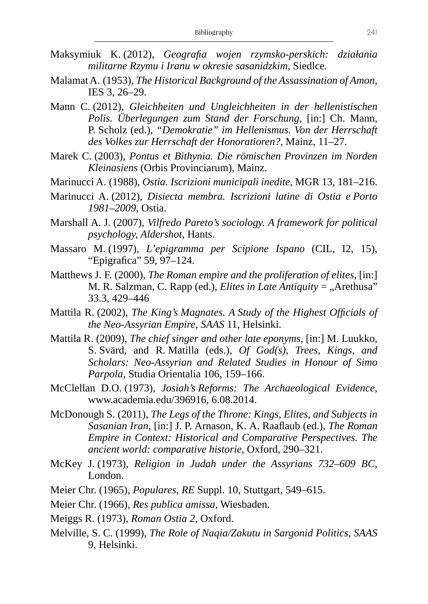- Maksymiuk K. (2012), *Geografia wojen rzymsko-perskich: działania militarne Rzymu i Iranu w okresie sasanidzkim*, Siedlce.
- Malamat A. (1953), *The Historical Background of the Assassination of Amon*, IES 3, 26–29.
- Mann C. (2012), *Gleichheiten und Ungleichheiten in der hellenistischen Polis. Überlegungen zum Stand der Forschung*, [in:] Ch. Mann, P. Scholz (ed.), *"Demokratie" im Hellenismus. Von der Herrschaft des Volkes zur Herrschaft der Honoratioren?*, Mainz, 11–27.
- Marek C. (2003), *Pontus et Bithynia. Die römischen Provinzen im Norden Kleinasiens* (Orbis Provinciarum), Mainz.
- Marinucci A. (1988), *Ostia. Iscrizioni municipali inedite*, MGR 13, 181–216.
- Marinucci A. (2012), *Disiecta membra. Iscrizioni latine di Ostia e Porto 1981–2009*, Ostia.
- Marshall A. J. (2007), *Vilfredo Pareto's sociology. A framework for political psychology, Aldershot*, Hants.
- Massaro M. (1997), *L'epigramma per Scipione Ispano* (CIL, I2, 15), "Epigrafica" 59, 97–124.
- Matthews J. F. (2000), *The Roman empire and the proliferation of elites*, [in:] M. R. Salzman, C. Rapp (ed.), *Elites in Late Antiquity* = "Arethusa" 33.3, 429–446
- Mattila R. (2002), *The King's Magnates. A Study of the Highest Officials of the Neo-Assyrian Empire*, *SAAS* 11, Helsinki.
- Mattila R. (2009), *The chief singer and other late eponyms*, [in:] M. Luukko, S. Svärd, and R. Matilla (eds.), *Of God(s), Trees, Kings, and Scholars: Neo-Assyrian and Related Studies in Honour of Simo Parpola*, Studia Orientalia 106, 159–166.
- McClellan D.O. (1973), *Josiah's Reforms: The Archaeological Evidence*, www.academia.edu/396916, 6.08.2014.
- McDonough S. (2011), *The Legs of the Throne: Kings, Elites, and Subjects in Sasanian Iran*, [in:] J. P. Arnason, K. A. Raaflaub (ed.), *The Roman Empire in Context: Historical and Comparative Perspectives. The ancient world: comparative historie*, Oxford, 290–321.
- McKey J. (1973), *Religion in Judah under the Assyrians 732–609 BC*, London.
- Meier Chr. (1965), *Populares*, *RE* Suppl. 10, Stuttgart, 549–615.
- Meier Chr. (1966), *Res publica amissa*, Wiesbaden.
- Meiggs R. (1973), *Roman Ostia 2*, Oxford.
- Melville, S. C. (1999), *The Role of Naqia/Zakutu in Sargonid Politics*, *SAAS* 9, Helsinki.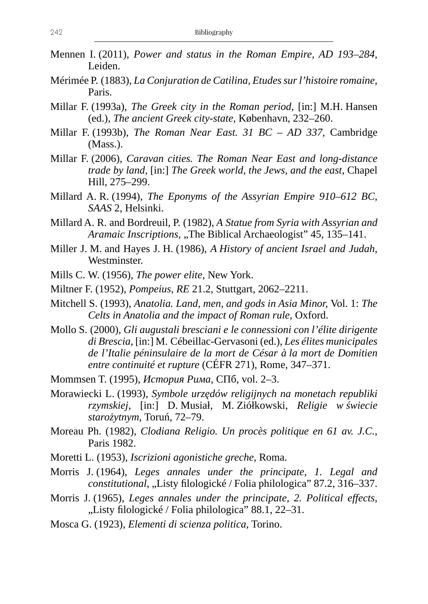- Mennen I. (2011), *Power and status in the Roman Empire, AD 193–284*, Leiden.
- Mérimée P. (1883), *La Conjuration de Catilina, Etudes sur l'histoire romaine*, Paris.
- Millar F. (1993a), *The Greek city in the Roman period*, [in:] M.H. Hansen (ed.), *The ancient Greek city-state*, København, 232–260.
- Millar F. (1993b), *The Roman Near East. 31 BC AD 337*, Cambridge (Mass.).
- Millar F. (2006), *Caravan cities. The Roman Near East and long-distance trade by land*, [in:] *The Greek world, the Jews, and the east*, Chapel Hill, 275–299.
- Millard A. R. (1994), *The Eponyms of the Assyrian Empire 910–612 BC*, *SAAS* 2, Helsinki.
- Millard A. R. and Bordreuil, P. (1982), *A Statue from Syria with Assyrian and Aramaic Inscriptions*, "The Biblical Archaeologist" 45, 135–141.
- Miller J. M. and Hayes J. H. (1986), *A History of ancient Israel and Judah*, Westminster.
- Mills C. W. (1956), *The power elite*, New York.
- Miltner F. (1952), *Pompeius*, *RE* 21.2, Stuttgart, 2062–2211.
- Mitchell S. (1993), *Anatolia. Land, men, and gods in Asia Minor,* Vol. 1: *The Celts in Anatolia and the impact of Roman rule*, Oxford.
- Mollo S. (2000), *Gli augustali bresciani e le connessioni con l'élite dirigente di Brescia*, [in:] M. Cébeillac-Gervasoni (ed.), *Les élites municipales de l'Italie péninsulaire de la mort de César à la mort de Domitien entre continuité et rupture* (CÉFR 271), Rome, 347–371.
- Mommsen T. (1995), *История Рима*, СПб, vol. 2–3.
- Morawiecki L. (1993), *Symbole urzędów religijnych na monetach republiki rzymskiej*, [in:] D. Musiał, M. Ziółkowski, *Religie w świecie starożytnym*, Toruń, 72–79.
- Moreau Ph. (1982), *Clodiana Religio. Un procès politique en 61 av. J.C.*, Paris 1982.
- Moretti L. (1953), *Iscrizioni agonistiche greche*, Roma.
- Morris J. (1964), *Leges annales under the principate, 1. Legal and constitutional*, "Listy filologické / Folia philologica" 87.2, 316–337.
- Morris J. (1965), *Leges annales under the principate, 2. Political effects*, "Listy filologické / Folia philologica" 88.1, 22–31.
- Mosca G. (1923), *Elementi di scienza politica*, Torino.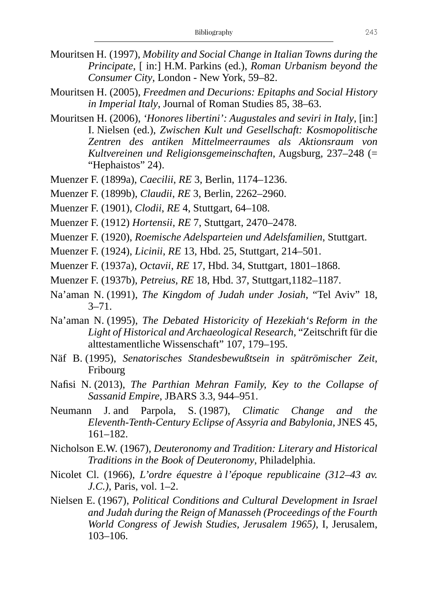- Mouritsen H. (1997), *Mobility and Social Change in Italian Towns during the Principate*, [ in:] H.M. Parkins (ed.), *Roman Urbanism beyond the Consumer City*, London - New York, 59–82.
- Mouritsen H. (2005), *Freedmen and Decurions: Epitaphs and Social History in Imperial Italy*, Journal of Roman Studies 85, 38–63.
- Mouritsen H. (2006), *'Honores libertini': Augustales and seviri in Italy*, [in:] I. Nielsen (ed.), *Zwischen Kult und Gesellschaft: Kosmopolitische Zentren des antiken Mittelmeerraumes als Aktionsraum von Kultvereinen und Religionsgemeinschaften*, Augsburg, 237–248 (= "Hephaistos" 24).
- Muenzer F. (1899a), *Caecilii*, *RE* 3, Berlin, 1174–1236.
- Muenzer F. (1899b), *Claudii*, *RE* 3, Berlin, 2262–2960.
- Muenzer F. (1901), *Clodii*, *RE* 4, Stuttgart, 64–108.
- Muenzer F. (1912) *Hortensii*, *RE* 7, Stuttgart, 2470–2478.
- Muenzer F. (1920), *Roemische Adelsparteien und Adelsfamilien*, Stuttgart.
- Muenzer F. (1924), *Licinii*, *RE* 13, Hbd. 25, Stuttgart, 214–501.
- Muenzer F. (1937a), *Octavii*, *RE* 17, Hbd. 34, Stuttgart, 1801–1868.
- Muenzer F. (1937b), *Petreius*, *RE* 18, Hbd. 37, Stuttgart,1182–1187.
- Na'aman N. (1991), *The Kingdom of Judah under Josiah*, "Tel Aviv" 18, 3–71.
- Na'aman N. (1995), *The Debated Historicity of Hezekiah's Reform in the Light of Historical and Archaeological Research*, "Zeitschrift für die alttestamentliche Wissenschaft" 107, 179–195.
- Näf B. (1995), *Senatorisches Standesbewußtsein in spätrömischer Zeit*, **Fribourg**
- Nafisi N. (2013), *The Parthian Mehran Family, Key to the Collapse of Sassanid Empire*, JBARS 3.3, 944–951.
- Neumann J. and Parpola, S. (1987), *Climatic Change and the Eleventh-Tenth-Century Eclipse of Assyria and Babylonia*, JNES 45, 161–182.
- Nicholson E.W. (1967), *Deuteronomy and Tradition: Literary and Historical Traditions in the Book of Deuteronomy*, Philadelphia.
- Nicolet Cl. (1966), *L'ordre équestre à l'époque republicaine (312–43 av. J.C.)*, Paris, vol. 1–2.
- Nielsen E. (1967), *Political Conditions and Cultural Development in Israel and Judah during the Reign of Manasseh (Proceedings of the Fourth World Congress of Jewish Studies, Jerusalem 1965)*, I, Jerusalem, 103–106.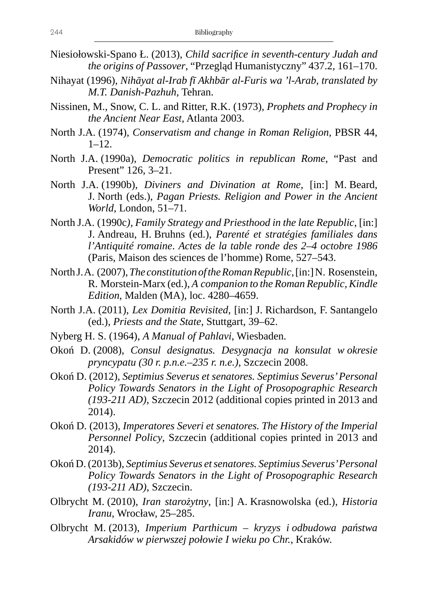- Niesiołowski-Spano Ł. (2013), *Child sacrifice in seventh-century Judah and the origins of Passover*, "Przegląd Humanistyczny" 437.2, 161–170.
- Nihayat (1996), *Nihāyat al-Irab fī Akhbār al-Furis wa 'l-Arab, translated by M.T. Danish-Pazhuh*, Tehran.
- Nissinen, M., Snow, C. L. and Ritter, R.K. (1973), *Prophets and Prophecy in the Ancient Near East*, Atlanta 2003.
- North J.A. (1974), *Conservatism and change in Roman Religion*, PBSR 44,  $1-12.$
- North J.A. (1990a), *Democratic politics in republican Rome*, "Past and Present" 126, 3–21.
- North J.A. (1990b), *Diviners and Divination at Rome*, [in:] M. Beard, J. North (eds.), *Pagan Priests. Religion and Power in the Ancient World*, London, 51–71.
- North J.A. (1990c*), Family Strategy and Priesthood in the late Republic*, [in:] J. Andreau, H. Bruhns (ed.), *Parenté et stratégies familiales dans l'Antiquité romaine*. *Actes de la table ronde des 2–4 octobre 1986* (Paris, Maison des sciences de l'homme) Rome, 527–543.
- North J. A. (2007), *The constitution of the Roman Republic*, [in:] N. Rosenstein, R. Morstein-Marx (ed.), *A companion to the Roman Republic, Kindle Edition*, Malden (MA), loc. 4280–4659.
- North J.A. (2011), *Lex Domitia Revisited*, [in:] J. Richardson, F. Santangelo (ed.), *Priests and the State*, Stuttgart, 39–62.
- Nyberg H. S. (1964), *A Manual of Pahlavi*, Wiesbaden.
- Okoń D. (2008), *Consul designatus. Desygnacja na konsulat w okresie pryncypatu (30 r. p.n.e.–235 r. n.e.)*, Szczecin 2008.
- Okoń D. (2012), *Septimius Severus et senatores. Septimius Severus' Personal Policy Towards Senators in the Light of Prosopographic Research (193-211 AD)*, Szczecin 2012 (additional copies printed in 2013 and 2014).
- Okoń D. (2013), *Imperatores Severi et senatores. The History of the Imperial Personnel Policy*, Szczecin (additional copies printed in 2013 and 2014).
- Okoń D. (2013b), *Septimius Severus et senatores. Septimius Severus' Personal Policy Towards Senators in the Light of Prosopographic Research (193-211 AD)*, Szczecin.
- Olbrycht M. (2010), *Iran starożytny*, [in:] A. Krasnowolska (ed.), *Historia Iranu*, Wrocław, 25–285.
- Olbrycht M. (2013), *Imperium Parthicum kryzys i odbudowa państwa Arsakidów w pierwszej połowie I wieku po Chr.*, Kraków.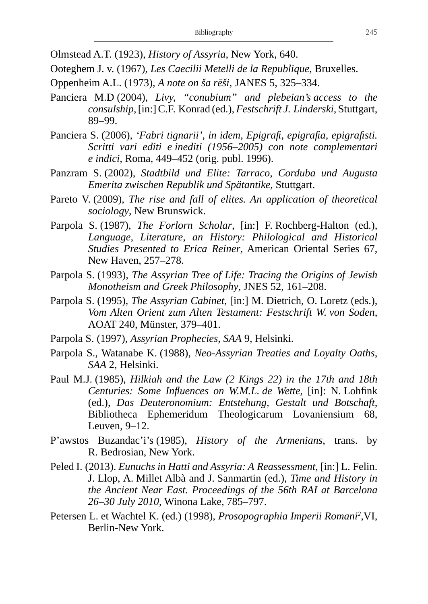Olmstead A.T. (1923), *History of Assyria*, New York, 640.

Ooteghem J. v. (1967), *Les Caecilii Metelli de la Republique*, Bruxelles.

- Oppenheim A.L. (1973), *A note on ša rēši*, JANES 5, 325–334.
- Panciera M.D (2004), *Livy, "conubium" and plebeian's access to the consulship*, [in:] C.F. Konrad (ed.), *Festschrift J. Linderski*, Stuttgart, 89–99.
- Panciera S. (2006), *'Fabri tignarii', in idem, Epigrafi, epigrafia, epigrafisti. Scritti vari editi e inediti (1956–2005) con note complementari e indici*, Roma, 449–452 (orig. publ. 1996).
- Panzram S. (2002), *Stadtbild und Elite: Tarraco, Corduba und Augusta Emerita zwischen Republik und Spätantike*, Stuttgart.
- Pareto V. (2009), *The rise and fall of elites. An application of theoretical sociology*, New Brunswick.
- Parpola S. (1987), *The Forlorn Scholar*, [in:] F. Rochberg-Halton (ed.), *Language, Literature, an History: Philological and Historical Studies Presented to Erica Reiner*, American Oriental Series 67, New Haven, 257–278.
- Parpola S. (1993), *The Assyrian Tree of Life: Tracing the Origins of Jewish Monotheism and Greek Philosophy*, JNES 52, 161–208.
- Parpola S. (1995), *The Assyrian Cabinet*, [in:] M. Dietrich, O. Loretz (eds.), *Vom Alten Orient zum Alten Testament: Festschrift W. von Soden*, AOAT 240, Münster, 379–401.
- Parpola S. (1997), *Assyrian Prophecies*, *SAA* 9, Helsinki.
- Parpola S., Watanabe K. (1988), *Neo-Assyrian Treaties and Loyalty Oaths*, *SAA* 2, Helsinki.
- Paul M.J. (1985), *Hilkiah and the Law (2 Kings 22) in the 17th and 18th Centuries: Some Influences on W.M.L. de Wette*, [in]: N. Lohfink (ed.), *Das Deuteronomium: Entstehung, Gestalt und Botschaft*, Bibliotheca Ephemeridum Theologicarum Lovaniensium 68, Leuven, 9–12.
- P'awstos Buzandac'i's (1985), *History of the Armenians*, trans. by R. Bedrosian, New York.
- Peled I. (2013). *Eunuchs in Hatti and Assyria: A Reassessment*, [in:] L. Felin. J. Llop, A. Millet Albà and J. Sanmartin (ed.), *Time and History in the Ancient Near East. Proceedings of the 56th RAI at Barcelona 26–30 July 2010*, Winona Lake, 785–797.
- Petersen L. et Wachtel K. (ed.) (1998), *Prosopographia Imperii Romani<sup>2</sup>,VI*, Berlin-New York.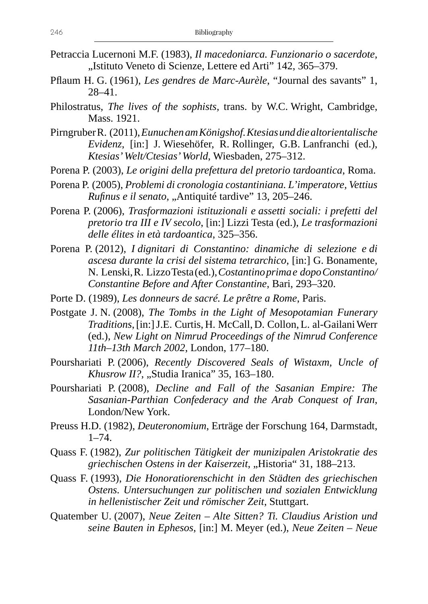- Petraccia Lucernoni M.F. (1983), *Il macedoniarca. Funzionario o sacerdote*, ..Istituto Veneto di Scienze, Lettere ed Arti" 142, 365–379.
- Pflaum H. G. (1961), *Les gendres de Marc-Aurèle*, "Journal des savants" 1, 28–41.
- Philostratus, *The lives of the sophists,* trans. by W.C. Wright, Cambridge, Mass. 1921.
- Pirngruber R. (2011), *Eunuchen am Königshof. Ktesias und die altorientalische Evidenz*, [in:] J. Wiesehöfer, R. Rollinger, G.B. Lanfranchi (ed.), *Ktesias' Welt/Ctesias' World*, Wiesbaden, 275–312.
- Porena P. (2003), *Le origini della prefettura del pretorio tardoantica*, Roma.
- Porena P. (2005), *Problemi di cronologia costantiniana. L'imperatore, Vettius Rufinus e il senato*, "Antiquité tardive" 13, 205–246.
- Porena P. (2006), *Trasformazioni istituzionali e assetti sociali: i prefetti del pretorio tra III e IV secolo*, [in:] Lizzi Testa (ed.), *Le trasformazioni delle élites in età tardoantica*, 325–356.
- Porena P. (2012), *I dignitari di Constantino: dinamiche di selezione e di ascesa durante la crisi del sistema tetrarchico*, [in:] G. Bonamente, N. Lenski, R. Lizzo Testa (ed.), *Costantino prima e dopo Constantino/ Constantine Before and After Constantine*, Bari, 293–320.
- Porte D. (1989), *Les donneurs de sacré. Le prêtre a Rome*, Paris.
- Postgate J. N. (2008), *The Tombs in the Light of Mesopotamian Funerary Traditions*, [in:] J.E. Curtis, H. McCall, D. Collon, L. al-Gailani Werr (ed.), *New Light on Nimrud Proceedings of the Nimrud Conference 11th–13th March 2002*, London, 177–180.
- Pourshariati P. (2006), *Recently Discovered Seals of Wistaxm, Uncle of Khusrow II?*, "Studia Iranica" 35, 163-180.
- Pourshariati P. (2008), *Decline and Fall of the Sasanian Empire: The Sasanian-Parthian Confederacy and the Arab Conquest of Iran*, London/New York.
- Preuss H.D. (1982), *Deuteronomium*, Erträge der Forschung 164, Darmstadt,  $1 - 74.$
- Quass F. (1982), *Zur politischen Tätigkeit der munizipalen Aristokratie des griechischen Ostens in der Kaiserzeit*, "Historia" 31, 188–213.
- Quass F. (1993), *Die Honoratiorenschicht in den Städten des griechischen Ostens. Untersuchungen zur politischen und sozialen Entwicklung in hellenistischer Zeit und römischer Zeit*, Stuttgart.
- Quatember U. (2007), *Neue Zeiten Alte Sitten? Ti. Claudius Aristion und seine Bauten in Ephesos*, [in:] M. Meyer (ed.), *Neue Zeiten – Neue*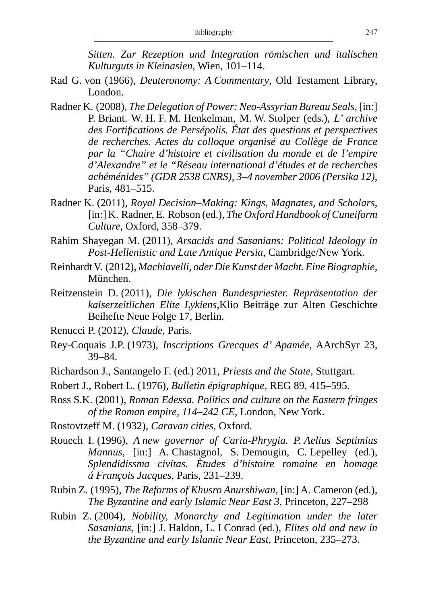*Sitten. Zur Rezeption und Integration römischen und italischen Kulturguts in Kleinasien*, Wien, 101–114.

- Rad G. von (1966), *Deuteronomy: A Commentary*, Old Testament Library, London.
- Radner K. (2008), *The Delegation of Power: Neo-Assyrian Bureau Seals*, [in:] P. Briant. W. H. F. M. Henkelman, M. W. Stolper (eds.), *L' archive des Fortifications de Persépolis. État des questions et perspectives de recherches. Actes du colloque organisé au Collège de France par la "Chaire d'histoire et civilisation du monde et de l'empire d'Alexandre" et le "Réseau international d'études et de recherches achéménides" (GDR 2538 CNRS), 3–4 november 2006 (Persika 12)*, Paris, 481–515.
- Radner K. (2011), *Royal Decision–Making: Kings, Magnates, and Scholars*, [in:] K. Radner, E. Robson (ed.), *The Oxford Handbook of Cuneiform Culture*, Oxford, 358–379.
- Rahim Shayegan M. (2011), *Arsacids and Sasanians: Political Ideology in Post-Hellenistic and Late Antique Persia*, Cambridge/New York.
- Reinhardt V. (2012), *Machiavelli, oder Die Kunst der Macht. Eine Biographie*, München.
- Reitzenstein D. (2011), *Die lykischen Bundespriester. Repräsentation der kaiserzeitlichen Elite Lykiens,*Klio Beiträge zur Alten Geschichte Beihefte Neue Folge 17, Berlin.
- Renucci P. (2012), *Claude*, Paris.
- Rey-Coquais J.P. (1973), *Inscriptions Grecques d' Apamée*, AArchSyr 23, 39*–*84.
- Richardson J., Santangelo F. (ed.) 2011, *Priests and the State,* Stuttgart.
- Robert J., Robert L. (1976), *Bulletin épigraphique*, REG 89, 415*–*595.
- Ross S.K. (2001), *Roman Edessa. Politics and culture on the Eastern fringes of the Roman empire, 114–242 CE*, London, New York.
- Rostovtzeff M. (1932), *Caravan cities*, Oxford.
- Rouech I. (1996), *A new governor of Caria-Phrygia. P. Aelius Septimius Mannus*, [in:] A. Chastagnol, S. Demougin, C. Lepelley (ed.), *Splendidissma civitas. Ètudes d'histoire romaine en homage á François Jacques*, Paris, 231–239.
- Rubin Z. (1995), *The Reforms of Khusro Anurshiwan*, [in:] A. Cameron (ed.), *The Byzantine and early Islamic Near East 3*, Princeton, 227–298
- Rubin Z. (2004), *Nobility, Monarchy and Legitimation under the later Sasanians*, [in:] J. Haldon, L. I Conrad (ed.), *Elites old and new in the Byzantine and early Islamic Near East*, Princeton, 235–273.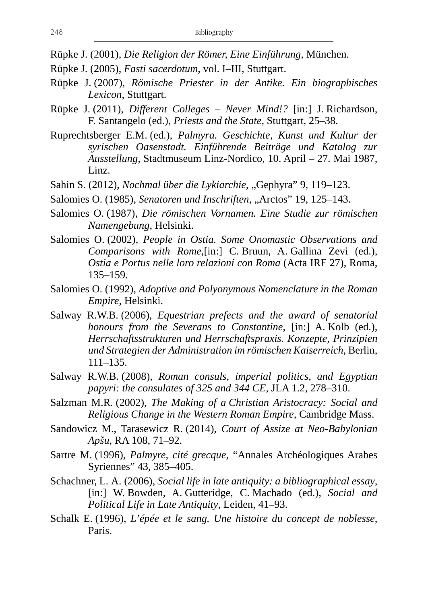Rüpke J. (2001), *Die Religion der Römer, Eine Einführung*, München.

- Rüpke J. (2005), *Fasti sacerdotum*, vol. I–III, Stuttgart.
- Rüpke J. (2007), *Römische Priester in der Antike. Ein biographisches Lexicon*, Stuttgart.
- Rüpke J. (2011), *Different Colleges Never Mind!?* [in:] J. Richardson, F. Santangelo (ed.), *Priests and the State,* Stuttgart, 25–38.
- Ruprechtsberger E.M. (ed.), *Palmyra. Geschichte, Kunst und Kultur der syrischen Oasenstadt. Einführende Beiträge und Katalog zur Ausstellung*, Stadtmuseum Linz-Nordico, 10. April – 27. Mai 1987, Linz.
- Sahin S. (2012), *Nochmal über die Lykiarchie*, "Gephyra" 9, 119–123.
- Salomies O. (1985), *Senatoren und Inschriften*, "Arctos" 19, 125-143.
- Salomies O. (1987), *Die römischen Vornamen. Eine Studie zur römischen Namengebung*, Helsinki.
- Salomies O. (2002), *People in Ostia. Some Onomastic Observations and Comparisons with Rome*,[in:] C. Bruun, A. Gallina Zevi (ed.), *Ostia e Portus nelle loro relazioni con Roma* (Acta IRF 27), Roma, 135–159.
- Salomies O. (1992), *Adoptive and Polyonymous Nomenclature in the Roman Empire*, Helsinki.
- Salway R.W.B. (2006), *Equestrian prefects and the award of senatorial honours from the Severans to Constantine*, [in:] A. Kolb (ed.), *Herrschaftsstrukturen und Herrschaftspraxis. Konzepte, Prinzipien und Strategien der Administration im römischen Kaiserreich*, Berlin, 111–135.
- Salway R.W.B. (2008), *Roman consuls, imperial politics, and Egyptian papyri: the consulates of 325 and 344 CE*, JLA 1.2, 278–310.
- Salzman M.R. (2002), *The Making of a Christian Aristocracy: Social and Religious Change in the Western Roman Empire*, Cambridge Mass.
- Sandowicz M., Tarasewicz R. (2014), *Court of Assize at Neo-Babylonian Apšu*, RA 108, 71–92.
- Sartre M. (1996), *Palmyre, cité grecque*, "Annales Archéologiques Arabes Syriennes" 43, 385–405.
- Schachner, L. A. (2006), *Social life in late antiquity: a bibliographical essay*, [in:] W. Bowden, A. Gutteridge, C. Machado (ed.), *Social and Political Life in Late Antiquity*, Leiden, 41–93.
- Schalk E. (1996), *L'épée et le sang. Une histoire du concept de noblesse*, Paris.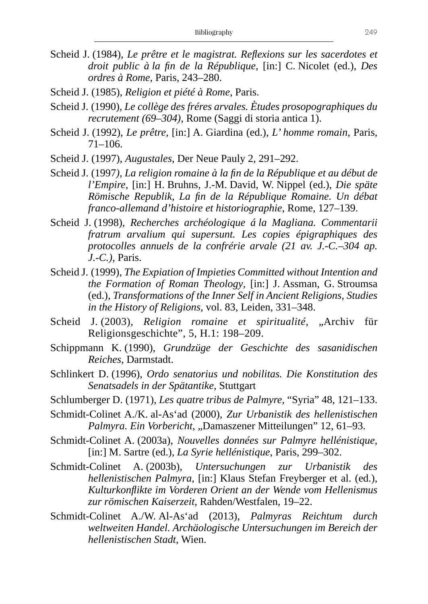- Scheid J. (1984), *Le prêtre et le magistrat. Reflexions sur les sacerdotes et droit public à la fin de la République*, [in:] C. Nicolet (ed.), *Des ordres à Rome*, Paris, 243–280.
- Scheid J. (1985), *Religion et piété à Rome*, Paris.
- Scheid J. (1990), *Le collège des fréres arvales. Ètudes prosopographiques du recrutement (69–304)*, Rome (Saggi di storia antica 1).
- Scheid J. (1992), *Le prêtre,* [in:] A. Giardina (ed.), *L' homme romain*, Paris, 71–106.
- Scheid J. (1997), *Augustales*, Der Neue Pauly 2, 291–292.
- Scheid J. (1997*), La religion romaine à la fin de la République et au début de l'Empire*, [in:] H. Bruhns, J.-M. David, W. Nippel (ed.), *Die späte Römische Republik, La fin de la République Romaine. Un débat franco-allemand d'histoire et historiographie*, Rome, 127–139.
- Scheid J. (1998), *Recherches archéologique á la Magliana. Commentarii fratrum arvalium qui supersunt. Les copies épigraphiques des protocolles annuels de la confrérie arvale (21 av. J.-C.–304 ap. J.-C.)*, Paris.
- Scheid J. (1999), *The Expiation of Impieties Committed without Intention and the Formation of Roman Theology*, [in:] J. Assman, G. Stroumsa (ed.), *Transformations of the Inner Self in Ancient Religions, Studies in the History of Religions*, vol. 83, Leiden, 331–348.
- Scheid J. (2003), *Religion romaine et spiritualité*, "Archiv für Religionsgeschichte", 5, H.1: 198–209.
- Schippmann K. (1990), *Grundzüge der Geschichte des sasanidischen Reiches*, Darmstadt.
- Schlinkert D. (1996), *Ordo senatorius und nobilitas. Die Konstitution des Senatsadels in der Spätantike*, Stuttgart
- Schlumberger D. (1971), *Les quatre tribus de Palmyre*, "Syria" 48, 121–133.
- Schmidt-Colinet A./K. al-As'ad (2000), *Zur Urbanistik des hellenistischen*  Palmyra. Ein Vorbericht, "Damaszener Mitteilungen" 12, 61–93.
- Schmidt-Colinet A. (2003a), *Nouvelles données sur Palmyre hellénistique*, [in:] M. Sartre (ed.), *La Syrie hellénistique*, Paris, 299–302.
- Schmidt-Colinet A. (2003b), *Untersuchungen zur Urbanistik des hellenistischen Palmyra*, [in:] Klaus Stefan Freyberger et al. (ed.), *Kulturkonflikte im Vorderen Orient an der Wende vom Hellenismus zur römischen Kaiserzeit*, Rahden/Westfalen, 19–22.
- Schmidt-Colinet A./W. Al-As'ad (2013), *Palmyras Reichtum durch weltweiten Handel. Archäologische Untersuchungen im Bereich der hellenistischen Stadt*, Wien.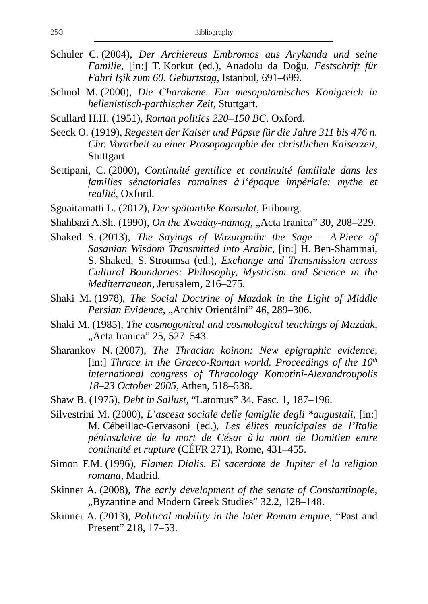- Schuler C. (2004), *Der Archiereus Embromos aus Arykanda und seine Familie*, [in:] T. Korkut (ed.), Anadolu da Doğu. *Festschrift für Fahri Işik zum 60. Geburtstag*, Istanbul, 691–699.
- Schuol M. (2000), *Die Charakene. Ein mesopotamisches Königreich in hellenistisch-parthischer Zeit*, Stuttgart.
- Scullard H.H. (1951), *Roman politics 220–150 BC*, Oxford.
- Seeck O. (1919), *Regesten der Kaiser und Päpste für die Jahre 311 bis 476 n. Chr. Vorarbeit zu einer Prosopographie der christlichen Kaiserzeit*, **Stuttgart**
- Settipani, C. (2000), *Continuité gentilice et continuité familiale dans les familles sénatoriales romaines à l'époque impériale: mythe et realité*, Oxford.
- Sguaitamatti L. (2012), *Der spätantike Konsulat*, Fribourg.
- Shahbazi A.Sh. (1990), *On the Xwaday-namag*, "Acta Iranica" 30, 208–229.
- Shaked S. (2013), *The Sayings of Wuzurgmihr the Sage A Piece of Sasanian Wisdom Transmitted into Arabic*, [in:] H. Ben-Shammai, S. Shaked, S. Stroumsa (ed.), *Exchange and Transmission across Cultural Boundaries: Philosophy, Mysticism and Science in the Mediterranean*, Jerusalem, 216–275.
- Shaki M. (1978), *The Social Doctrine of Mazdak in the Light of Middle*  Persian Evidence, "Archív Orientální" 46, 289-306.
- Shaki M. (1985), *The cosmogonical and cosmological teachings of Mazdak*, "Acta Iranica" 25, 527–543.
- Sharankov N. (2007), *The Thracian koinon: New epigraphic evidence*, [in:] *Thrace in the Graeco-Roman world. Proceedings of the 10<sup>th</sup> international congress of Thracology Komotini-Alexandroupolis 18*–*23 October 2005*, Athen, 518–538.
- Shaw B. (1975), *Debt in Sallust,* "Latomus" 34, Fasc. 1, 187–196.
- Silvestrini M. (2000), *L'ascesa sociale delle famiglie degli \*augustali*, [in:] M. Cébeillac-Gervasoni (ed.), *Les élites municipales de l'Italie péninsulaire de la mort de César à la mort de Domitien entre continuité et rupture* (CÉFR 271), Rome, 431–455.
- Simon F.M. (1996), *Flamen Dialis. El sacerdote de Jupiter el la religion romana*, Madrid.
- Skinner A. (2008), *The early development of the senate of Constantinople*, "Byzantine and Modern Greek Studies" 32.2, 128-148.
- Skinner A. (2013), *Political mobility in the later Roman empire*, "Past and Present" 218, 17–53.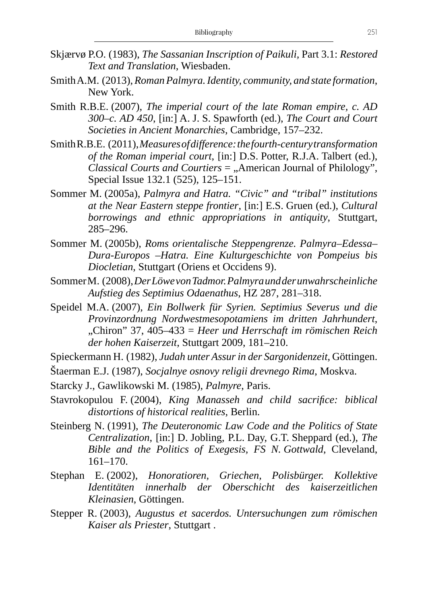- Skjærvø P.O. (1983), *The Sassanian Inscription of Paikuli,* Part 3.1: *Restored Text and Translation*, Wiesbaden.
- Smith A.M. (2013), *Roman Palmyra. Identity, community, and state formation*, New York.
- Smith R.B.E. (2007), *The imperial court of the late Roman empire, c. AD 300–c. AD 450*, [in:] A. J. S. Spawforth (ed.), *The Court and Court Societies in Ancient Monarchies*, Cambridge, 157–232.
- Smith R.B.E. (2011), *Measures of difference: the fourth-century transformation of the Roman imperial court*, [in:] D.S. Potter, R.J.A. Talbert (ed.), *Classical Courts and Courtiers* = "American Journal of Philology", Special Issue 132.1 (525), 125–151.
- Sommer M. (2005a), *Palmyra and Hatra. "Civic" and "tribal" institutions at the Near Eastern steppe frontier*, [in:] E.S. Gruen (ed.), *Cultural borrowings and ethnic appropriations in antiquity*, Stuttgart, 285–296.
- Sommer M. (2005b), *Roms orientalische Steppengrenze. Palmyra–Edessa– Dura-Europos –Hatra. Eine Kulturgeschichte von Pompeius bis Diocletian*, Stuttgart (Oriens et Occidens 9).
- Sommer M. (2008), *Der Löwe von Tadmor. Palmyra und der unwahrscheinliche Aufstieg des Septimius Odaenathus*, HZ 287, 281–318.
- Speidel M.A. (2007), *Ein Bollwerk für Syrien. Septimius Severus und die Provinzordnung Nordwestmesopotamiens im dritten Jahrhundert*, "Chiron" 37, 405–433 = *Heer und Herrschaft im römischen Reich der hohen Kaiserzeit*, Stuttgart 2009, 181–210.
- Spieckermann H. (1982), *Judah unter Assur in der Sargonidenzeit*, Göttingen.
- Štaerman E.J. (1987), *Socjalnye osnovy religii drevnego Rima*, Moskva.
- Starcky J., Gawlikowski M. (1985), *Palmyre*, Paris.
- Stavrokopulou F. (2004), *King Manasseh and child sacrifice: biblical distortions of historical realities*, Berlin.
- Steinberg N. (1991), *The Deuteronomic Law Code and the Politics of State Centralization*, [in:] D. Jobling, P.L. Day, G.T. Sheppard (ed.), *The Bible and the Politics of Exegesis, FS N. Gottwald*, Cleveland, 161–170.
- Stephan E. (2002), *Honoratioren, Griechen, Polisbürger. Kollektive Identitäten innerhalb der Oberschicht des kaiserzeitlichen Kleinasien*, Göttingen.
- Stepper R. (2003), *Augustus et sacerdos. Untersuchungen zum römischen Kaiser als Priester*, Stuttgart .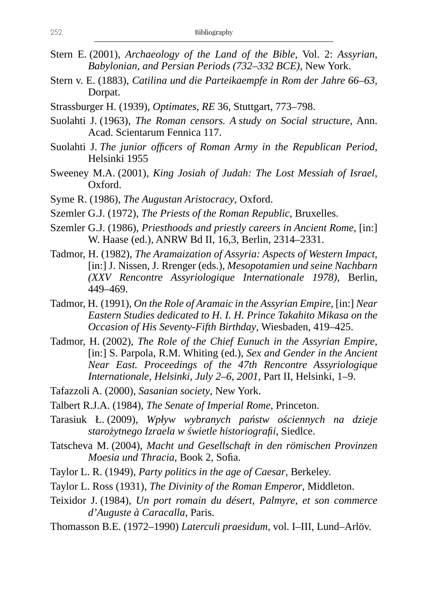- Stern E. (2001), *Archaeology of the Land of the Bible*, Vol. 2: *Assyrian, Babylonian, and Persian Periods (732–332 BCE)*, New York.
- Stern v. E. (1883), *Catilina und die Parteikaempfe in Rom der Jahre 66–63*, Dorpat.
- Strassburger H. (1939), *Optimates*, *RE* 36, Stuttgart, 773–798.
- Suolahti J. (1963), *The Roman censors. A study on Social structure*, Ann. Acad. Scientarum Fennica 117.
- Suolahti J. *The junior officers of Roman Army in the Republican Period*, Helsinki 1955
- Sweeney M.A. (2001), *King Josiah of Judah: The Lost Messiah of Israel*, Oxford.
- Syme R. (1986), *The Augustan Aristocracy*, Oxford.
- Szemler G.J. (1972), *The Priests of the Roman Republic*, Bruxelles.
- Szemler G.J. (1986), *Priesthoods and priestly careers in Ancient Rome*, [in:] W. Haase (ed.), ANRW Bd II, 16,3, Berlin, 2314–2331.
- Tadmor, H. (1982), *The Aramaization of Assyria: Aspects of Western Impact*, [in:] J. Nissen, J. Rrenger (eds.), *Mesopotamien und seine Nachbarn (XXV Rencontre Assyriologique Internationale 1978)*, Berlin, 449–469.
- Tadmor, H. (1991), *On the Role of Aramaic in the Assyrian Empire*, [in:] *Near Eastern Studies dedicated to H. I. H. Prince Takahito Mikasa on the Occasion of His Seventy-Fifth Birthday*, Wiesbaden, 419–425.
- Tadmor, H. (2002), *The Role of the Chief Eunuch in the Assyrian Empire*, [in:] S. Parpola, R.M. Whiting (ed.), *Sex and Gender in the Ancient Near East. Proceedings of the 47th Rencontre Assyriologique Internationale, Helsinki, July 2–6, 2001*, Part II, Helsinki, 1–9.
- Tafazzoli A. (2000), *Sasanian society*, New York.
- Talbert R.J.A. (1984), *The Senate of Imperial Rome*, Princeton.
- Tarasiuk Ł. (2009), *Wpływ wybranych państw ościennych na dzieje starożytnego Izraela w świetle historiografii*, Siedlce.
- Tatscheva M. (2004), *Macht und Gesellschaft in den römischen Provinzen Moesia und Thracia*, Book 2, Sofia.
- Taylor L. R. (1949), *Party politics in the age of Caesar*, Berkeley.
- Taylor L. Ross (1931), *The Divinity of the Roman Emperor*, Middleton.
- Teixidor J. (1984), *Un port romain du désert, Palmyre, et son commerce d'Auguste à Caracalla*, Paris.
- Thomasson B.E. (1972–1990) *Laterculi praesidum*, vol. I–III, Lund–Arlöv.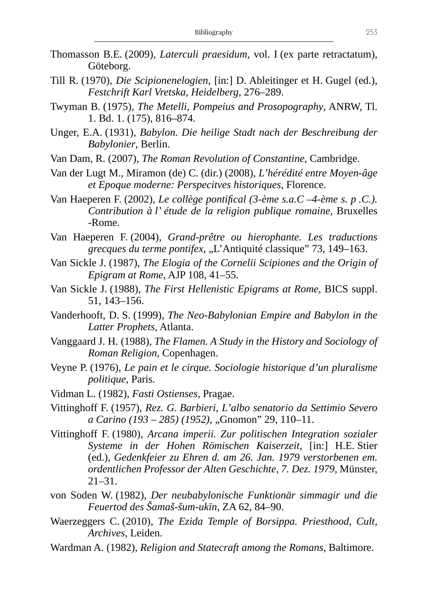- Thomasson B.E. (2009), *Laterculi praesidum*, vol. I (ex parte retractatum), Göteborg.
- Till R. (1970), *Die Scipionenelogien*, [in:] D. Ableitinger et H. Gugel (ed.), *Festchrift Karl Vretska, Heidelberg*, 276–289.
- Twyman B. (1975), *The Metelli, Pompeius and Prosopography*, ANRW, Tl. 1. Bd. 1. (175), 816–874.
- Unger, E.A. (1931), *Babylon. Die heilige Stadt nach der Beschreibung der Babylonier*, Berlin.
- Van Dam, R. (2007), *The Roman Revolution of Constantine*, Cambridge.
- Van der Lugt M., Miramon (de) C. (dir.) (2008), *L'hérédité entre Moyen-âge et Epoque moderne: Perspecitves historiques*, Florence.
- Van Haeperen F. (2002), *Le collège pontifical (3-ème s.a.C –4-ème s. p .C.). Contribution à l' étude de la religion publique romaine*, Bruxelles -Rome.
- Van Haeperen F. (2004), *Grand-prêtre ou hierophante. Les traductions grecques du terme pontifex*, "L'Antiquité classique" 73, 149–163.
- Van Sickle J. (1987), *The Elogia of the Cornelii Scipiones and the Origin of Epigram at Rome*, AJP 108, 41–55.
- Van Sickle J. (1988), *The First Hellenistic Epigrams at Rome*, BICS suppl. 51, 143–156.
- Vanderhooft, D. S. (1999), *The Neo-Babylonian Empire and Babylon in the Latter Prophets*, Atlanta.
- Vanggaard J. H. (1988), *The Flamen. A Study in the History and Sociology of Roman Religion*, Copenhagen.
- Veyne P. (1976), *Le pain et le cirque. Sociologie historique d'un pluralisme politique*, Paris.
- Vidman L. (1982), *Fasti Ostienses*, Pragae.
- Vittinghoff F. (1957), *Rez. G. Barbieri, L'albo senatorio da Settimio Severo a Carino (193 – 285) (1952)*, "Gnomon" 29, 110–11.
- Vittinghoff F. (1980), *Arcana imperii. Zur politischen Integration sozialer Systeme in der Hohen Römischen Kaiserzeit*, [in:] H.E. Stier (ed.), *Gedenkfeier zu Ehren d. am 26. Jan. 1979 verstorbenen em. ordentlichen Professor der Alten Geschichte, 7. Dez. 1979*, Münster, 21–31.
- von Soden W. (1982), *Der neubabylonische Funktionär simmagir und die Feuertod des Šamaš-šum-ukīn*, ZA 62, 84–90.
- Waerzeggers C. (2010), *The Ezida Temple of Borsippa. Priesthood, Cult, Archives*, Leiden.
- Wardman A. (1982), *Religion and Statecraft among the Romans*, Baltimore.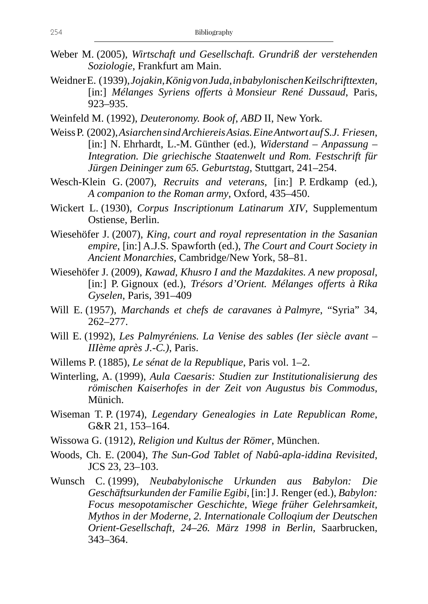- Weber M. (2005), *Wirtschaft und Gesellschaft. Grundriß der verstehenden Soziologie*, Frankfurt am Main.
- Weidner E. (1939), *Jojakin, König von Juda, in babylonischen Keilschrifttexten*, [in:] *Mélanges Syriens offerts à Monsieur René Dussaud*, Paris, 923–935.
- Weinfeld M. (1992), *Deuteronomy. Book of*, *ABD* II, New York.
- Weiss P. (2002), *Asiarchen sind Archiereis Asias. Eine Antwort auf S.J. Friesen*, [in:] N. Ehrhardt, L.-M. Günther (ed.), *Widerstand – Anpassung – Integration. Die griechische Staatenwelt und Rom. Festschrift für Jürgen Deininger zum 65. Geburtstag*, Stuttgart, 241–254.
- Wesch-Klein G. (2007), *Recruits and veterans*, [in:] P. Erdkamp (ed.), *A companion to the Roman army*, Oxford, 435–450.
- Wickert L. (1930), *Corpus Inscriptionum Latinarum XIV*, Supplementum Ostiense, Berlin.
- Wiesehöfer J. (2007), *King, court and royal representation in the Sasanian empire*, [in:] A.J.S. Spawforth (ed.), *The Court and Court Society in Ancient Monarchies*, Cambridge/New York, 58–81.
- Wiesehöfer J. (2009), *Kawad, Khusro I and the Mazdakites. A new proposal*, [in:] P. Gignoux (ed.), *Trésors d'Orient. Mélanges offerts à Rika Gyselen*, Paris, 391–409
- Will E. (1957), *Marchands et chefs de caravanes à Palmyre*, "Syria" 34, 262–277.
- Will E. (1992), *Les Palmyréniens. La Venise des sables (Ier siècle avant IIIème après J.-C.)*, Paris.
- Willems P. (1885), *Le sénat de la Republique*, Paris vol. 1–2.
- Winterling, A. (1999), *Aula Caesaris: Studien zur Institutionalisierung des römischen Kaiserhofes in der Zeit von Augustus bis Commodus*, Münich.
- Wiseman T. P. (1974), *Legendary Genealogies in Late Republican Rome*, G&R 21, 153–164.
- Wissowa G. (1912), *Religion und Kultus der Römer*, München.
- Woods, Ch. E. (2004), *The Sun-God Tablet of Nabû-apla-iddina Revisited*, JCS 23, 23–103.
- Wunsch C. (1999), *Neubabylonische Urkunden aus Babylon: Die Geschäftsurkunden der Familie Egibi*, [in:] J. Renger (ed.), *Babylon: Focus mesopotamischer Geschichte, Wiege früher Gelehrsamkeit, Mythos in der Moderne, 2. Internationale Colloqium der Deutschen Orient-Gesellschaft, 24–26. März 1998 in Berlin*, Saarbrucken, 343–364.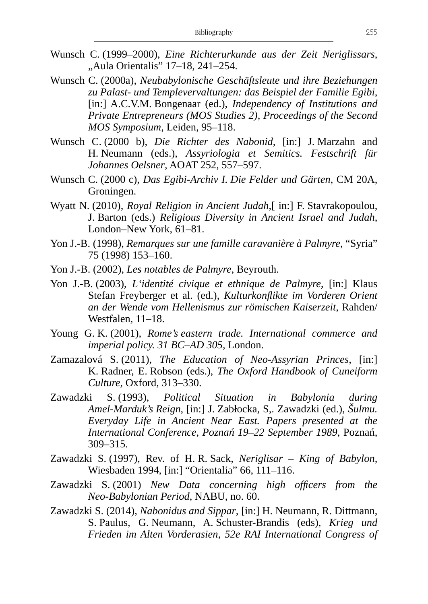- Wunsch C. (1999–2000), *Eine Richterurkunde aus der Zeit Neriglissars*, "Aula Orientalis" 17-18, 241-254.
- Wunsch C. (2000a), *Neubabylonische Geschäftsleute und ihre Beziehungen zu Palast- und Templevervaltungen: das Beispiel der Familie Egibi*, [in:] A.C.V.M. Bongenaar (ed.), *Independency of Institutions and Private Entrepreneurs (MOS Studies 2), Proceedings of the Second MOS Symposium*, Leiden, 95–118.
- Wunsch C. (2000 b), *Die Richter des Nabonid*, [in:] J. Marzahn and H. Neumann (eds.), *Assyriologia et Semitics. Festschrift für Johannes Oelsner*, AOAT 252, 557–597.
- Wunsch C. (2000 c), *Das Egibi-Archiv I. Die Felder und Gärten*, CM 20A, Groningen.
- Wyatt N. (2010), *Royal Religion in Ancient Judah*, [in:] F. Stavrakopoulou, J. Barton (eds.) *Religious Diversity in Ancient Israel and Judah*, London–New York, 61–81.
- Yon J.-B. (1998), *Remarques sur une famille caravanière à Palmyre*, "Syria" 75 (1998) 153–160.
- Yon J.-B. (2002), *Les notables de Palmyre*, Beyrouth.
- Yon J.-B. (2003), *L'identité civique et ethnique de Palmyre*, [in:] Klaus Stefan Freyberger et al. (ed.), *Kulturkonflikte im Vorderen Orient an der Wende vom Hellenismus zur römischen Kaiserzeit*, Rahden/ Westfalen, 11–18.
- Young G. K. (2001), *Rome's eastern trade. International commerce and imperial policy. 31 BC–AD 305*, London.
- Zamazalová S. (2011), *The Education of Neo-Assyrian Princes*, [in:] K. Radner, E. Robson (eds.), *The Oxford Handbook of Cuneiform Culture*, Oxford, 313–330.
- Zawadzki S. (1993), *Political Situation in Babylonia during Amel-Marduk's Reign*, [in:] J. Zabłocka, S,. Zawadzki (ed.), *Šulmu. Everyday Life in Ancient Near East. Papers presented at the International Conference, Poznań 19–22 September 1989*, Poznań, 309–315.
- Zawadzki S. (1997), Rev. of H. R. Sack, *Neriglisar King of Babylon*, Wiesbaden 1994, [in:] "Orientalia" 66, 111–116.
- Zawadzki S. (2001) *New Data concerning high officers from the Neo-Babylonian Period*, NABU, no. 60.
- Zawadzki S. (2014), *Nabonidus and Sippar*, [in:] H. Neumann, R. Dittmann, S. Paulus, G. Neumann, A. Schuster-Brandis (eds), *Krieg und Frieden im Alten Vorderasien, 52e RAI International Congress of*